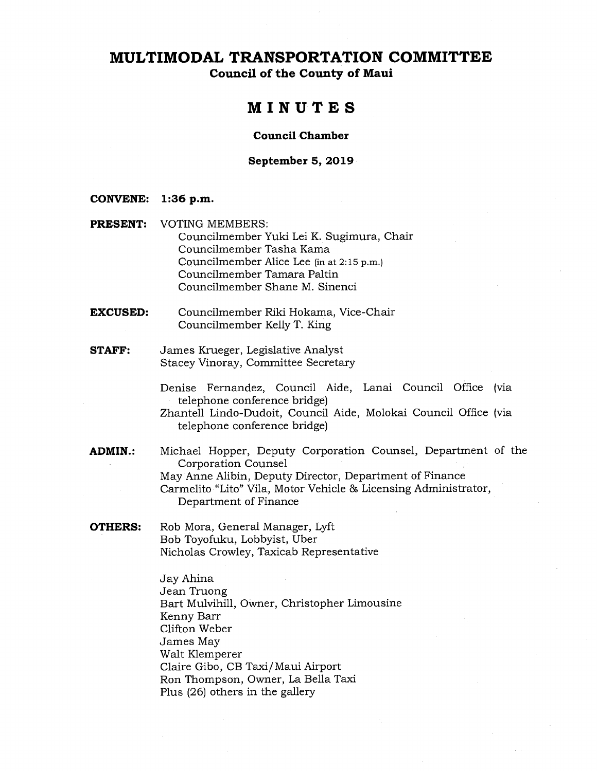**Council of the County of Maui** 

# **MINUTES**

### **Council Chamber**

#### **September 5, 2019**

#### **CONVENE: 1:36 p.m.**

- **PRESENT:** VOTING MEMBERS: Councilmember Yuki Lei K. Sugimura, Chair Councilmember Tasha Kama Councilmember Alice Lee (in at 2:15 p.m.) Councilmember Tamara Paltin Councilmember Shane M. Sinenci
- **EXCUSED:** Councilmember Riki Hokama, Vice-Chair Councilmember Kelly T. King
- **STAFF:** James Krueger, Legislative Analyst Stacey Vinoray, Committee Secretary

Denise Fernandez, Council Aide, Lanai Council Office (via telephone conference bridge)

- Zhantell Lindo-Dudoit, Council Aide, Molokai Council Office (via telephone conference bridge)
- **ADMIN.:** Michael Hopper, Deputy Corporation Counsel, Department of the Corporation Counsel May Anne Alibin, Deputy Director, Department of Finance Carmelito "Lito" Vila, Motor Vehicle 86 Licensing Administrator, Department of Finance
- **OTHERS:** Rob Mora, General Manager, Lyft Bob Toyofuku, Lobbyist, Uber Nicholas Crowley, Taxicab Representative

Jay Ahina Jean Truong Bart Mulvihill, Owner, Christopher Limousine Kenny Barr Clifton Weber James May Walt Klemperer Claire Gibo, CB Taxi/Maui Airport Ron Thompson, Owner, La Bella Taxi Plus (26) others in the gallery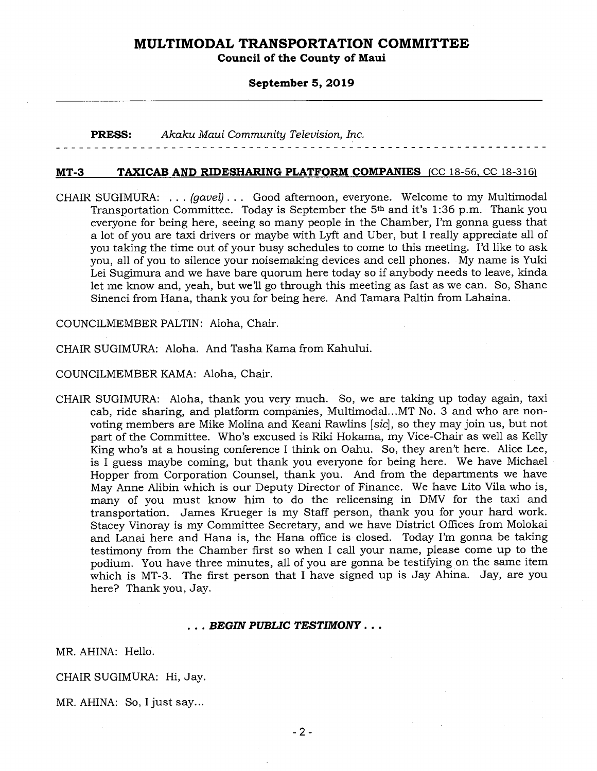**Council of the County of Maui** 

#### **September 5, 2019**

**PRESS:** *Akaku Maui Community Television, Inc.* 

#### **MT-3 TAXICAB AND RIDESHARING PLATFORM COMPANIES** (CC 18-56, CC 18-316)

CHAIR SUGIMURA: . . . *(gavel) . . .* Good afternoon, everyone. Welcome to my Multimodal Transportation Committee. Today is September the 5th and it's 1:36 p.m. Thank you everyone for being here, seeing so many people in the Chamber, I'm gonna guess that a lot of you are taxi drivers or maybe with Lyft and Uber, but I really appreciate all of you taking the time out of your busy schedules to come to this meeting. I'd like to ask you, all of you to silence your noisemaking devices and cell phones. My name is Yuki Lei Sugimura and we have bare quorum here today so if anybody needs to leave, kinda let me know and, yeah, but we'll go through this meeting as fast as we can. So, Shane Sinenci from Hana, thank you for being here. And Tamara Paltin from Lahaina.

COUNCILMEMBER PALTIN: Aloha, Chair.

CHAIR SUGIMURA: Aloha. And Tasha Kama from Kahului.

COUNCILMEMBER KAMA: Aloha, Chair.

CHAIR SUGIMURA: Aloha, thank you very much. So, we are taking up today again, taxi cab, ride sharing, and platform companies, Multimodal...MT No. 3 and who are nonvoting members are Mike Molina and Keani Rawlins *[sic],* so they may join us, but not part of the Committee. Who's excused is Riki Hokama, my Vice-Chair as well as Kelly King who's at a housing conference I think on Oahu. So, they aren't here. Alice Lee, is I guess maybe coming, but thank you everyone for being here. We have Michael Hopper from Corporation Counsel, thank you. And from the departments we have May Anne Alibin which is our Deputy Director of Finance. We have Lito Vila who is, many of you must know him to do the relicensing in DMV for the taxi and transportation. James Krueger is my Staff person, thank you for your hard work. Stacey Vinoray is my Committee Secretary, and we have District Offices from Molokai and Lanai here and Hana is, the Hana office is closed. Today I'm gonna be taking testimony from the Chamber first so when I call your name, please come up to the podium. You have three minutes, all of you are gonna be testifying on the same item which is MT-3. The first person that I have signed up is Jay Ahina. Jay, are you here? Thank you, Jay.

#### *. . . BEGIN PUBLIC TESTIMONY . . .*

MR. AHINA: Hello.

CHAIR SUGIMURA: Hi, Jay.

MR. AHINA: So, I just say...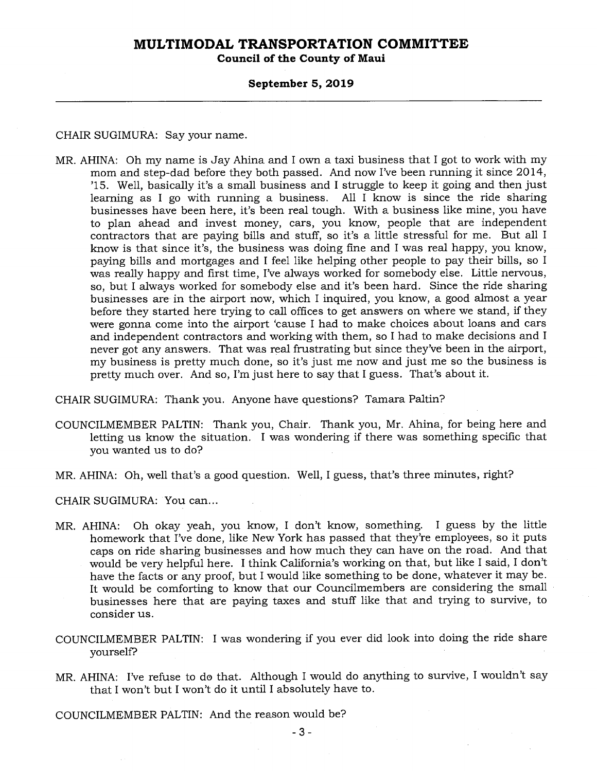**Council of the County of Maui** 

#### **September 5, 2019**

CHAIR SUGIMURA: Say your name.

MR. AHINA: Oh my name is Jay Ahina and I own a taxi business that I got to work with my mom and step-dad before they both passed. And now I've been running it since 2014, '15. Well, basically it's a small business and I struggle to keep it going and then just learning as I go with running a business. All I know is since the ride sharing businesses have been here, it's been real tough. With a business like mine, you have to plan ahead and invest money, cars, you know, people that are independent contractors that are paying bills and stuff, so it's a little stressful for me. But all I know is that since it's, the business was doing fine and I was real happy, you know, paying bills and mortgages and I feel like helping other people to pay their bills, so I was really happy and first time, I've always worked for somebody else. Little nervous, so, but I always worked for somebody else and it's been hard. Since the ride sharing businesses are in the airport now, which I inquired, you know, a good almost a year before they started here trying to call offices to get answers on where we stand, if they were gonna come into the airport 'cause I had to make choices about loans and cars and independent contractors and working with them, so I had to make decisions and I never got any answers. That was real frustrating but since they've been in the airport, my business is pretty much done, so it's just me now and just me so the business is pretty much over. And so, I'm just here to say that I guess. That's about it.

CHAIR SUGIMURA: Thank you. Anyone have questions? Tamara Paltin?

- COUNCILMEMBER PALTIN: Thank you, Chair. Thank you, Mr. Ahina, for being here and letting us know the situation. I was wondering if there was something specific that you wanted us to do?
- MR. AHINA: Oh, well that's a good question. Well, I guess, that's three minutes, right?

CHAIR SUGIMURA: You can...

- MR. AHINA: Oh okay yeah, you know, I don't know, something. I guess by the little homework that I've done, like New York has passed that they're employees, so it puts caps on ride sharing businesses and how much they can have on the road. And that would be very helpful here. I think California's working on that, but like I said, I don't have the facts or any proof, but I would like something to be done, whatever it may be. It would be comforting to know that our Councilmembers are considering the small businesses here that are paying taxes and stuff like that and trying to survive, to consider us.
- COUNCILMEMBER PALTIN: I was wondering if you ever did look into doing the ride share yourself?
- MR. AHINA: I've refuse to do that. Although I would do anything to survive, I wouldn't say that I won't but I won't do it until I absolutely have to.

COUNCILMEMBER PALTIN: And the reason would be?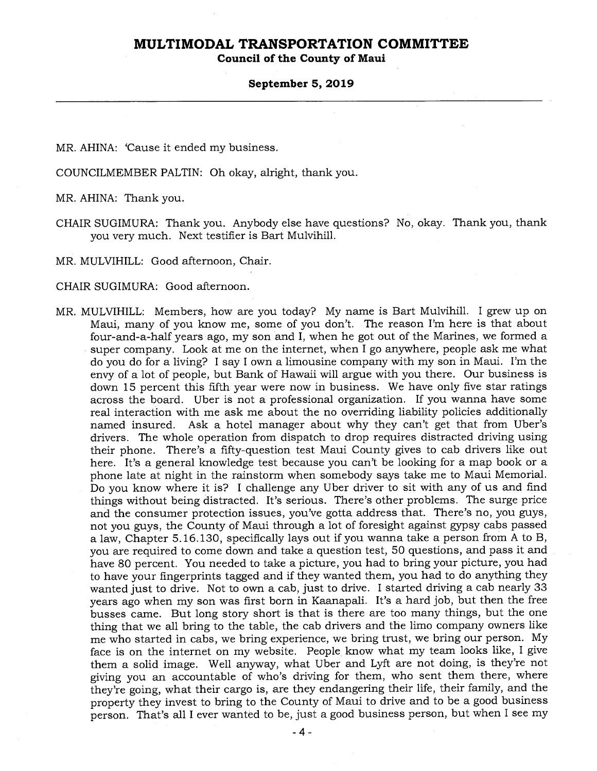**Council of the County of Maui** 

#### **September 5, 2019**

MR. AHINA: 'Cause it ended my business.

COUNCILMEMBER PALTIN: Oh okay, alright, thank you.

MR. AHINA: Thank you.

CHAIR SUGIMURA: Thank you. Anybody else have questions? No, okay. Thank you, thank you very much. Next testifier is Bart Mulvihill.

MR. MULVIHILL: Good afternoon, Chair.

CHAIR SUGIMURA: Good afternoon.

MR. MULVIHILL: Members, how are you today? My name is Bart Mulvihill. I grew up on Maui, many of you know me, some of you don't. The reason I'm here is that about four-and-a-half years ago, my son and I, when he got out of the Marines, we formed a super company. Look at me on the internet, when I go anywhere, people ask me what do you do for a living? I say I own a limousine company with my son in Maui. I'm the envy of a lot of people, but Bank of Hawaii will argue with you there. Our business is down 15 percent this fifth year were now in business. We have only five star ratings across the board. Uber is not a professional organization. If you wanna have some real interaction with me ask me about the no overriding liability policies additionally named insured. Ask a hotel manager about why they can't get that from Uber's drivers. The whole operation from dispatch to drop requires distracted driving using their phone. There's a fifty-question test Maui County gives to cab drivers like out here. It's a general knowledge test because you can't be looking for a map book or a phone late at night in the rainstorm when somebody says take me to Maui Memorial. Do you know where it is? I challenge any Uber driver to sit with any of us and find things without being distracted. It's serious. There's other problems. The surge price and the consumer protection issues, you've gotta address that. There's no, you guys, not you guys, the County of Maui through a lot of foresight against *gypsy* cabs passed a law, Chapter 5.16.130, specifically lays out if you wanna take a person from A to B, you are required to come down and take a question test, 50 questions, and pass it and have 80 percent. You needed to take a picture, you had to bring your picture, you had to have your fingerprints tagged and if they wanted them, you had to do anything they wanted just to drive. Not to own a cab, just to drive. I started driving a cab nearly 33 years ago when my son was first born in Kaanapali. It's a hard job, but then the free busses came. But long story short is that is there are too many things, but the one thing that we all bring to the table, the cab drivers and the limo company owners like me who started in cabs, we bring experience, we bring trust, we bring our person. My face is on the internet on my website. People know what my team looks like, I give them a solid image. Well anyway, what Uber and Lyft are not doing, is they're not giving you an accountable of who's driving for them, who sent them there, where they're going, what their cargo is, are they endangering their life, their family, and the property they invest to bring to the County of Maui to drive and to be a good business person. That's all I ever wanted to be, just a good business person, but when I see my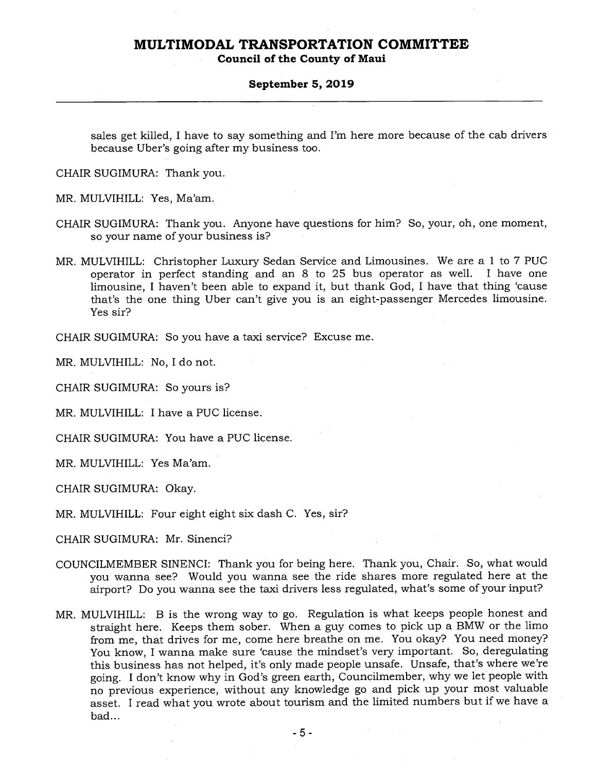**Council of the County of Maui** 

#### **September 5, 2019**

sales get killed, I have to say something and I'm here more because of the cab drivers because Uber's going after my business too.

CHAIR SUGIMURA: Thank you.

MR. MULVIHILL: Yes, Ma'am.

- CHAIR SUGIMURA: Thank you. Anyone have questions for him? So, your, oh, one moment, so your name of your business is?
- MR. MULVIHILL: Christopher Luxury Sedan Service and Limousines. We are a 1 to 7 PUC operator in perfect standing and an 8 to 25 bus operator as well. I have one limousine, I haven't been able to expand it, but thank God, I have that thing 'cause that's the one thing Uber can't give you is an eight-passenger Mercedes limousine. Yes sir?

CHAIR SUGIMURA: So you have a taxi service? Excuse me.

MR. MULVIHILL: No, I do not.

CHAIR SUGIMURA: So yours is?

MR. MULVIHILL: I have a PUC license.

CHAIR SUGIMURA: You have a PUC license.

MR. MULVIHILL: Yes Ma'am.

CHAIR SUGIMURA: Okay.

MR. MULVIHILL: Four eight eight six dash C. Yes, sir?

CHAIR SUGIMURA: Mr. Sinenci?

- COUNCILMEMBER SINENCI: Thank you for being here. Thank you, Chair. So, what would you wanna see? Would you wanna see the ride shares more regulated here at the airport? Do you wanna see the taxi drivers less regulated, what's some of your input?
- MR. MULVIHILL: B is the wrong way to go. Regulation is what keeps people honest and straight here. Keeps them sober. When a guy comes to pick up a BMW or the limo from me, that drives for me, come here breathe on me. You okay? You need money? You know, I wanna make sure 'cause the mindset's very important. So, deregulating this business has not helped, it's only made people unsafe. Unsafe, that's where we're going. I don't know why in God's green earth, Councilmember, why we let people with no previous experience, without any knowledge go and pick up your most valuable asset. I read what you wrote about tourism and the limited numbers but if we have a bad...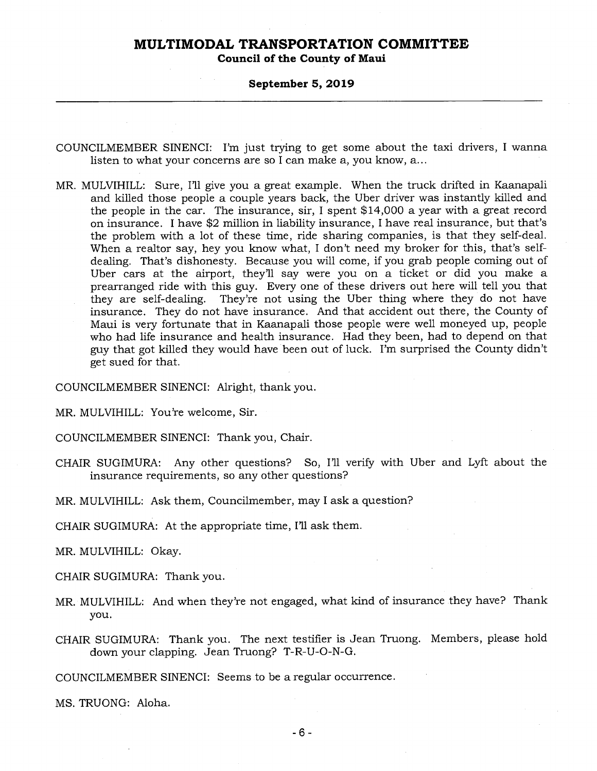**Council of the County of Maui** 

#### **September 5, 2019**

- COUNCILMEMBER SINENCI: I'm just trying to get some about the taxi drivers, I wanna listen to what your concerns are so I can make a, you know, a...
- MR. MULVIHILL: Sure, I'll give you a great example. When the truck drifted in Kaanapali and killed those people a couple years back, the Uber driver was instantly killed and the people in the car. The insurance, sir, I spent \$14,000 a year with a great record on insurance. I have \$2 million in liability insurance, I have real insurance, but that's the problem with a lot of these time, ride sharing companies, is that they self-deal. When a realtor say, hey you know what, I don't need my broker for this, that's selfdealing. That's dishonesty. Because you will come, if you grab people coming out of Uber cars at the airport, they'll say were you on a ticket or did you make a prearranged ride with this guy. Every one of these drivers out here will tell you that they are self-dealing. They're not using the Uber thing where they do not have insurance. They do not have insurance. And that accident out there, the County of Maui is very fortunate that in Kaanapali those people were well moneyed up, people who had life insurance and health insurance. Had they been, had to depend on that guy that got killed they would have been out of luck. I'm surprised the County didn't get sued for that.

COUNCILMEMBER SINENCI: Alright, thank you.

MR. MULVIHILL: You're welcome, Sir.

COUNCILMEMBER SINENCI: Thank you, Chair.

- CHAIR SUGIMURA: Any other questions? So, I'll verify with Uber and Lyft about the insurance requirements, so any other questions?
- MR. MULVIHILL: Ask them, Councilmember, may I ask a question?

CHAIR SUGIMURA: At the appropriate time, I'll ask them.

MR. MULVIHILL: Okay.

CHAIR SUGIMURA: Thank you.

- MR. MULVIHILL: And when they're not engaged, what kind of insurance they have? Thank you.
- CHAIR SUGIMURA: Thank you. The next testifier is Jean Truong. Members, please hold down your clapping. Jean Truong? T-R-U-O-N-G.

COUNCILMEMBER SINENCI: Seems to be a regular occurrence.

MS. TRUONG: Aloha.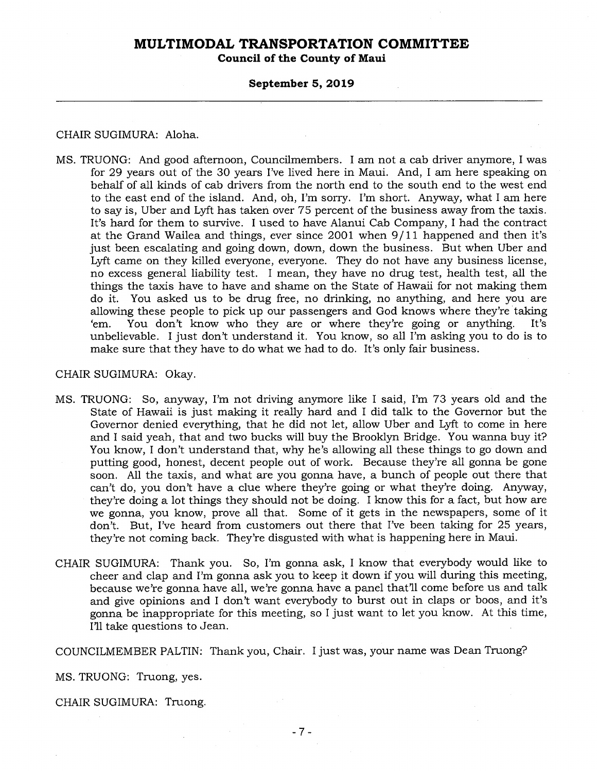**Council of the County of Maui** 

#### **September 5, 2019**

#### CHAIR SUGIMURA: Aloha.

MS. TRUONG: And good afternoon, Councilmembers. I am not a cab driver anymore, I was for 29 years out of the 30 years I've lived here in Maui. And, I am here speaking on behalf of all kinds of cab drivers from the north end to the south end to the west end to the east end of the island. And, oh, I'm sorry. I'm short. Anyway, what I am here to say is, Uber and Lyft has taken over 75 percent of the business away from the taxis. It's hard for them to survive. I used to have Alanui Cab Company, I had the contract at the Grand Wailea and things, ever since 2001 when 9/11 happened and then it's just been escalating and going down, down, down the business. But when Uber and Lyft came on they killed everyone, everyone. They do not have any business license, no excess general liability test. I mean, they have no drug test, health test, all the things the taxis have to have and shame on the State of Hawaii for not making them do it. You asked us to be drug free, no drinking, no anything, and here you are allowing these people to pick up our passengers and God knows where they're taking `em. You don't know who they are or where they're going or anything. It's unbelievable. I just don't understand it. You know, so all I'm asking you to do is to make sure that they have to do what we had to do. It's only fair business.

### CHAIR SUGIMURA: Okay.

- MS. TRUONG: So, anyway, I'm not driving anymore like I said, I'm 73 years old and the State of Hawaii is just making it really hard and I did talk to the Governor but the Governor denied everything, that he did not let, allow Uber and Lyft to come in here and I said yeah, that and two bucks will buy the Brooklyn Bridge. You wanna buy it? You know, I don't understand that, why he's allowing all these things to go down and putting good, honest, decent people out of work. Because they're all gonna be gone soon. All the taxis, and what are you gonna have, a bunch of people out there that can't do, you don't have a clue where they're going or what they're doing. Anyway, they're doing a lot things they should not be doing. I know this for a fact, but how are we gonna, you know, prove all that. Some of it gets in the newspapers, some of it don't. But, I've heard from customers out there that I've been taking for 25 years, they're not coming back. They're disgusted with what is happening here in Maui.
- CHAIR SUGIMURA: Thank you. So, I'm gonna ask, I know that everybody would like to cheer and clap and I'm gonna ask you to keep it down if you will during this meeting, because we're gonna have all, we're gonna have a panel that'll come before us and talk and give opinions and I don't want everybody to burst out in claps or boos, and it's gonna be inappropriate for this meeting, so I just want to let you know. At this time, I'll take questions to Jean.

COUNCILMEMBER PALTIN: Thank you, Chair. I just was, your name was Dean Truong?

MS. TRUONG: Truong, yes.

CHAIR SUGIMURA: Truong.

 $\mathcal{L}$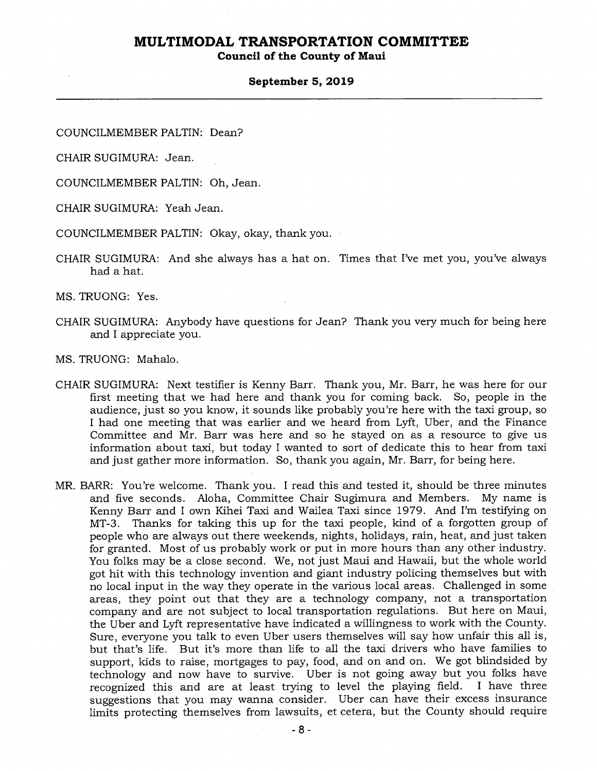### **Council of the County of Maui**

#### **September 5, 2019**

COUNCILMEMBER PALTIN: Dean?

CHAIR SUGIMURA: Jean.

COUNCILMEMBER PALTIN: Oh, Jean.

CHAIR SUGIMURA: Yeah Jean.

COUNCILMEMBER PALTIN: Okay, okay, thank you.

CHAIR SUGIMURA: And she always has a hat on. Times that I've met you, you've always had a hat.

MS. TRUONG: Yes.

CHAIR SUGIMURA: Anybody have questions for Jean? Thank you very much for being here and I appreciate you.

MS. TRUONG: Mahalo.

- CHAIR SUGIMURA: Next testifier is Kenny Barr. Thank you, Mr. Barr, he was here for our first meeting that we had here and thank you for coming back. So, people in the audience, just so you know, it sounds like probably you're here with the taxi group, so I had one meeting that was earlier and we heard from Lyft, Uber, and the Finance Committee and Mr. Barr was here and so he stayed on as a resource to give us information about taxi, but today I wanted to sort of dedicate this to hear from taxi and just gather more information. So, thank you again, Mr. Barr, for being here.
- MR. BARR: You're welcome. Thank you. I read this and tested it, should be three minutes and five seconds. Aloha, Committee Chair Sugimura and Members. My name is Kenny Barr and I own Kihei Taxi and Wailea Taxi since 1979. And I'm testifying on MT-3. Thanks for taking this up for the taxi people, kind of a forgotten group of people who are always out there weekends, nights, holidays, rain, heat, and just taken for granted. Most of us probably work or put in more hours than any other industry. You folks may be a close second. We, not just Maui and Hawaii, but the whole world got hit with this technology invention and giant industry policing themselves but with no local input in the way they operate in the various local areas. Challenged in some areas, they point out that they are a technology company, not a transportation company and are not subject to local transportation regulations. But here on Maui, the Uber and Lyft representative have indicated a willingness to work with the County. Sure, everyone you talk to even Uber users themselves will say how unfair this all is, but that's life. But it's more than life to all the taxi drivers who have families to support, kids to raise, mortgages to pay, food, and on and on. We got blindsided by technology and now have to survive. Uber is not going away but you folks have recognized this and are at least trying to level the playing field. I have three suggestions that you may wanna consider. Uber can have their excess insurance limits protecting themselves from lawsuits, et cetera, but the County should require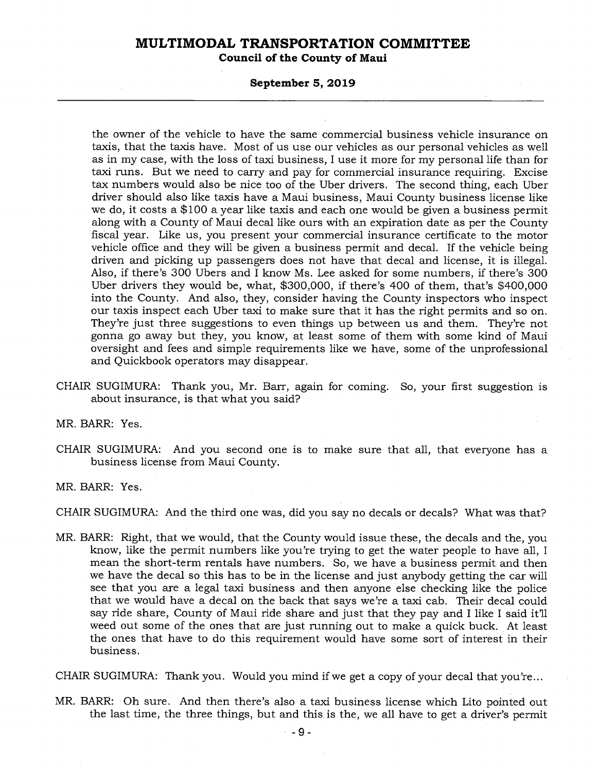**Council of the County of Maui** 

#### **September 5, 2019**

the owner of the vehicle to have the same commercial business vehicle insurance on taxis, that the taxis have. Most of us use our vehicles as our personal vehicles as well as in my case, with the loss of taxi business, I use it more for my personal life than for taxi runs. But we need to carry and pay for commercial insurance requiring. Excise tax numbers would also be nice too of the Uber drivers. The second thing, each Uber driver should also like taxis have a Maui business, Maui County business license like we do, it costs a \$100 a year like taxis and each one would be given a business permit along with a County of Maui decal like ours with an expiration date as per the County fiscal year. Like us, you present your commercial insurance certificate to the motor vehicle office and they will be given a business permit and decal. If the vehicle being driven and picking up passengers does not have that decal and license, it is illegal. Also, if there's 300 Ubers and I know Ms. Lee asked for some numbers, if there's 300 Uber drivers they would be, what, \$300,000, if there's 400 of them, that's \$400,000 into the County. And also, they, consider having the County inspectors who inspect our taxis inspect each Uber taxi to make sure that it has the right permits and so on. They're just three suggestions to even things up between us and them. They're not gonna go away but they, you know, at least some of them with some kind of Maui oversight and fees and simple requirements like we have, some of the unprofessional and Quickbook operators may disappear.

CHAIR SUGIMURA: Thank you, Mr. Barr, again for coming. So, your first suggestion is about insurance, is that what you said?

MR. BARR: Yes.

CHAIR SUGIMURA: And you second one is to make sure that all, that everyone has a business license from Maui County.

MR. BARR: Yes.

CHAIR SUGIMURA: And the third one was, did you say no decals or decals? What was that?

MR. BARR: Right, that we would, that the County would issue these, the decals and the, you know, like the permit numbers like you're trying to get the water people to have all, I mean the short-term rentals have numbers. So, we have a business permit and then we have the decal so this has to be in the license and just anybody getting the car will see that you are a legal taxi business and then anyone else checking like the police that we would have a decal on the back that says we're a taxi cab. Their decal could say ride share, County of Maui ride share and just that they pay and I like I said it'll weed out some of the ones that are just running out to make a quick buck. At least the ones that have to do this requirement would have some sort of interest in their business.

CHAIR SUGIMURA: Thank you. Would you mind if we get a copy of your decal that you're...

MR. BARR: Oh sure. And then there's also a taxi business license which Lito pointed out the last time, the three things, but and this is the, we all have to get a driver's permit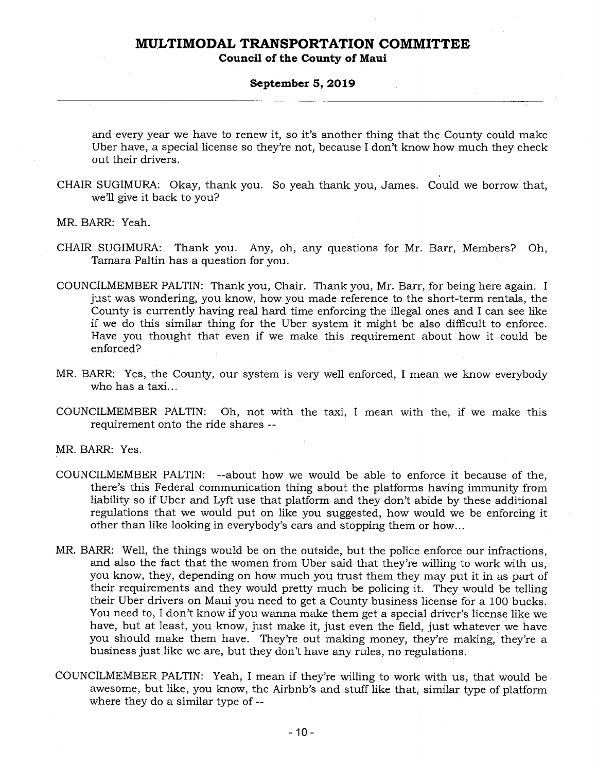**Council of the County of Maui** 

#### **September 5, 2019**

and every year we have to renew it, so it's another thing that the County could make Uber have, a special license so they're not, because I don't know how much they check out their drivers.

CHAIR SUGIMURA: Okay, thank you. So yeah thank you, James. Could we borrow that, we'll give it back to you?

MR. BARR: Yeah.

- CHAIR SUGIMURA: Thank you. Any, oh, any questions for Mr. Barr, Members? Oh, Tamara Paltin has a question for you.
- COUNCILMEMBER PALTIN: Thank you, Chair. Thank you, Mr. Barr, for being here again. I just was wondering, you know, how you made reference to the short-term rentals, the County is currently having real hard time enforcing the illegal ones and I can see like if we do this similar thing for the Uber system it might be also difficult to enforce. Have you thought that even if we make this requirement about how it could be enforced?
- MR. BARR: Yes, the County, our system is very well enforced, I mean we know everybody who has a taxi...
- COUNCILMEMBER PALTIN: Oh, not with the taxi, I mean with the, if we make this requirement onto the ride shares --

MR. BARR: Yes.

- COUNCILMEMBER PALTIN: --about how we would be able to enforce it because of the, there's this Federal communication thing about the platforms having immunity from liability so if Uber and Lyft use that platform and they don't abide by these additional regulations that we would put on like you suggested, how would we be enforcing it other than like looking in everybody's cars and stopping them or how...
- MR. BARR: Well, the things would be on the outside, but the police enforce our infractions, and also the fact that the women from Uber said that they're willing to work with us, you know, they, depending on how much you trust them they may put it in as part of their requirements and they would pretty much be policing it. They would be telling their Uber drivers on Maui you need to get a County business license for a 100 bucks. You need to, I don't know if you wanna make them get a special driver's license like we have, but at least, you know, just make it, just even the field, just whatever we have you should make them have. They're out making money, they're making, they're a business just like we are, but they don't have any rules, no regulations.
- COUNCILMEMBER PALTIN: Yeah, I mean if they're willing to work with us, that would be awesome, but like, you know, the Airbnb's and stuff like that, similar type of platform where they do a similar type of --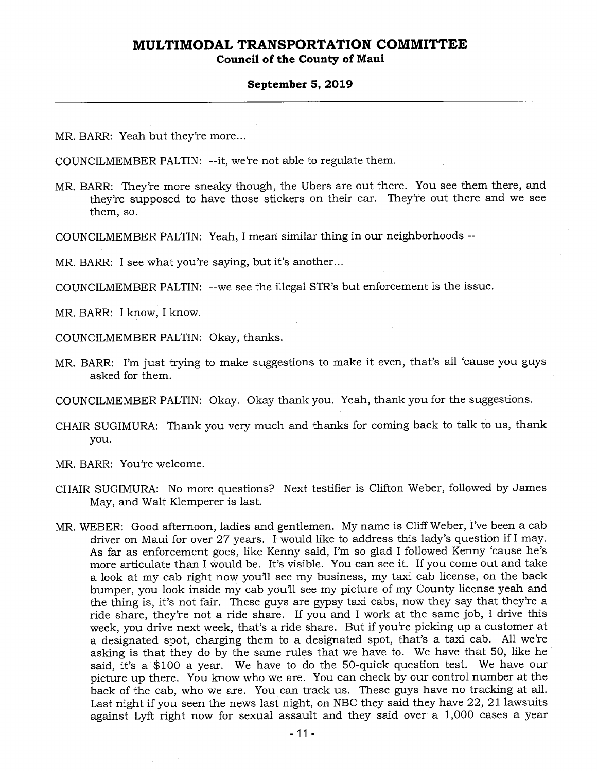### **Council of the County of Maui**

#### **September 5, 2019**

MR. BARR: Yeah but they're more...

COUNCILMEMBER PALTIN: --it, we're not able to regulate them.

MR. BARR: They're more sneaky though, the Ubers are out there. You see them there, and they're supposed to have those stickers on their car. They're out there and we see them, so.

COUNCILMEMBER PALTIN: Yeah, I mean similar thing in our neighborhoods --

MR. BARR: I see what you're saying, but it's another...

COUNCILMEMBER PALTIN: --we see the illegal STR's but enforcement is the issue.

MR. BARR: I know, I know.

COUNCILMEMBER PALTIN: Okay, thanks.

MR. BARR: I'm just trying to make suggestions to make it even, that's all 'cause you guys asked for them.

COUNCILMEMBER PALTIN: Okay. Okay thank you. Yeah, thank you for the suggestions.

- CHAIR SUGIMURA: Thank you very much and thanks for coming back to talk to us, thank you.
- MR. BARR: You're welcome.
- CHAIR SUGIMURA: No more questions? Next testifier is Clifton Weber, followed by James May, and Walt Klemperer is last.
- MR. WEBER: Good afternoon, ladies and gentlemen. My name is Cliff Weber, I've been a cab driver on Maui for over 27 years. I would like to address this lady's question if I may. As far as enforcement goes, like Kenny said, I'm so glad I followed Kenny 'cause he's more articulate than I would be. It's visible. You can see it. If you come out and take a look at my cab right now you'll see my business, my taxi cab license, on the back bumper, you look inside my cab you'll see my picture of my County license yeah and the thing is, it's not fair. These guys are gypsy taxi cabs, now they say that they're a ride share, they're not a ride share. If you and I work at the same job, I drive this week, you drive next week, that's a ride share. But if you're picking up a customer at a designated spot, charging them to a designated spot, that's a taxi cab. All we're asking is that they do by the same rules that we have to. We have that 50, like he said, it's a \$100 a year. We have to do the 50-quick question test. We have our picture up there. You know who we are. You can check by our control number at the back of the cab, who we are. You can track us. These guys have no tracking at all. Last night if you seen the news last night, on NBC they said they have 22, 21 lawsuits against Lyft right now for sexual assault and they said over a 1,000 cases a year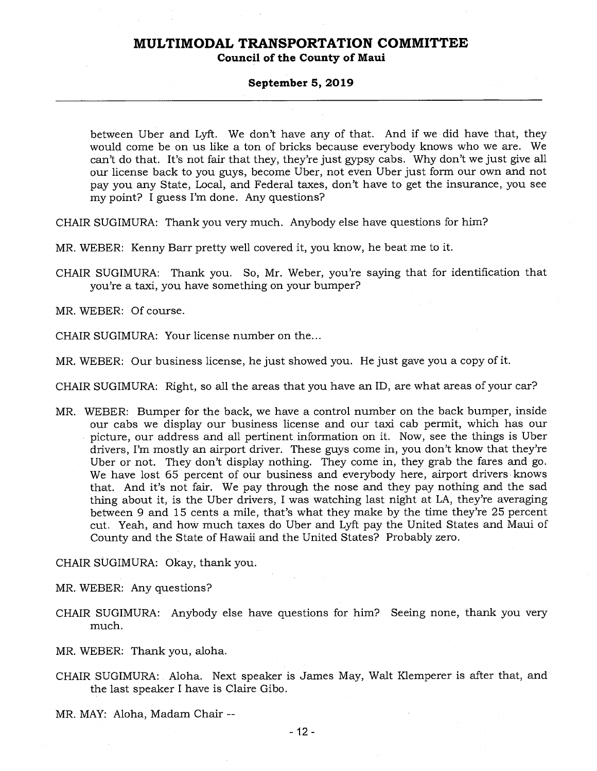#### **Council of the County of Maui**

#### **September 5, 2019**

between Uber and Lyft. We don't have any of that. And if we did have that, they would come be on us like a ton of bricks because everybody knows who we are. We can't do that. It's not fair that they, they're just gypsy cabs. Why don't we just give all our license back to you guys, become Uber, not even Uber just form our own and not pay you any State, Local, and Federal taxes, don't have to get the insurance, you see my point? I guess I'm done. Any questions?

CHAIR SUGIMURA: Thank you very much. Anybody else have questions for him?

MR. WEBER: Kenny Barr pretty well covered it, you know, he beat me to it.

CHAIR SUGIMURA: Thank you. So, Mr. Weber, you're saying that for identification that you're a taxi, you have something on your bumper?

MR. WEBER: Of course.

CHAIR SUGIMURA: Your license number on the...

MR. WEBER: Our business license, he just showed you. He just gave you a copy of it.

CHAIR SUGIMURA: Right, so all the areas that you have an ID, are what areas of your car?

MR. WEBER: Bumper for the back, we have a control number on the back bumper, inside our cabs we display our business license and our taxi cab permit, which has our picture, our address and all pertinent information on it. Now, see the things is Uber drivers, I'm mostly an airport driver. These guys come in, you don't know that they're Uber or not. They don't display nothing. They come in, they grab the fares and go. We have lost 65 percent of our business and everybody here, airport drivers knows that. And it's not fair. We pay through the nose and they pay nothing and the sad thing about it, is the Uber drivers, I was watching last night at LA, they're averaging between 9 and 15 cents a mile, that's what they make by the time they're 25 percent cut. Yeah, and how much taxes do Uber and Lyft pay the United States and Maui of County and the State of Hawaii and the United States? Probably zero.

CHAIR SUGIMURA: Okay, thank you.

MR. WEBER: Any questions?

CHAIR SUGIMURA: Anybody else have questions for him? Seeing none, thank you very much.

MR. WEBER: Thank you, aloha.

CHAIR SUGIMURA: Aloha. Next speaker is James May, Walt Klemperer is after that, and the last speaker I have is Claire Gibo.

MR. MAY: Aloha, Madam Chair --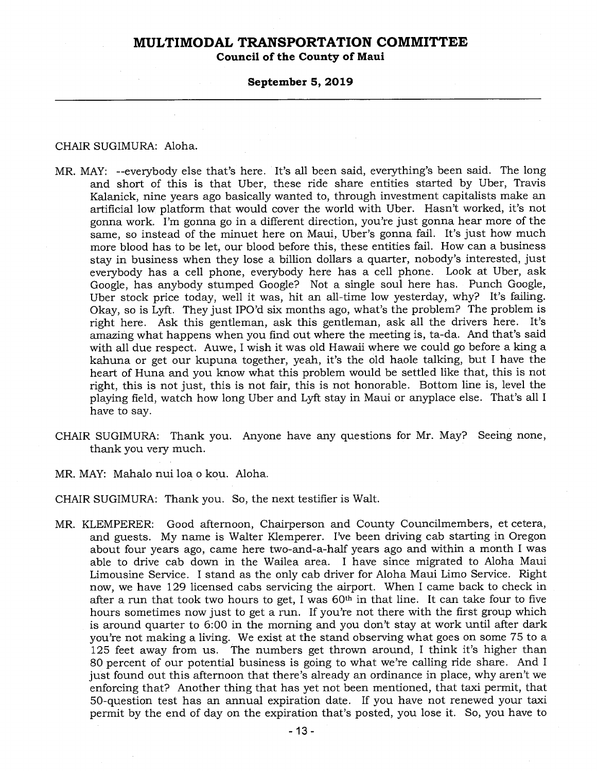**Council of the County of Maui** 

### **September 5, 2019**

#### CHAIR SUGIMURA: Aloha.

- MR. MAY: --everybody else that's here. It's all been said, everything's been said. The long and short of this is that Uber, these ride share entities started by Uber, Travis Kalanick, nine years ago basically wanted to, through investment capitalists make an artificial low platform that would cover the world with Uber. Hasn't worked, it's not gonna work. I'm gonna go in a different direction, you're just gonna hear more of the same, so instead of the minuet here on Maui, Uber's gonna fail. It's just how much more blood has to be let, our blood before this, these entities fail. How can a business stay in business when they lose a billion dollars a quarter, nobody's interested, just everybody has a cell phone, everybody here has a cell phone. Look at Uber, ask Google, has anybody stumped Google? Not a single soul here has. Punch Google, Uber stock price today, well it was, hit an all-time low yesterday, why? It's failing. Okay, so is Lyft. They just IPO'd six months ago, what's the problem? The problem is right here. Ask this gentleman, ask this gentleman, ask all the drivers here. It's amazing what happens when you find out where the meeting is, ta-da. And that's said with all due respect. Auwe, I wish it was old Hawaii where we could go before a king a kahuna or get our kupuna together, yeah, it's the old haole talking, but I have the heart of Huna and you know what this problem would be settled like that, this is not right, this is not just, this is not fair, this is not honorable. Bottom line is, level the playing field, watch how long Uber and Lyft stay in Maui or anyplace else. That's all I have to say.
- CHAIR SUGIMURA: Thank you. Anyone have any questions for Mr. May? Seeing none, thank you very much.
- MR. MAY: Mahalo nui loa o kou. Aloha.
- CHAIR SUGIMURA: Thank you. So, the next testifier is Walt.
- MR. KLEMPERER: Good afternoon, Chairperson and County Councilmembers, et cetera, and guests. My name is Walter Klemperer. I've been driving cab starting in Oregon about four years ago, came here two-and-a-half years ago and within a month I was able to drive cab down in the Wailea area. I have since migrated to Aloha Maui Limousine Service. I stand as the only cab driver for Aloha Maui Limo Service. Right now, we have 129 licensed cabs servicing the airport. When I came back to check in after a run that took two hours to get, I was  $60<sup>th</sup>$  in that line. It can take four to five hours sometimes now just to get a run. If you're not there with the first group which is around quarter to 6:00 in the morning and you don't stay at work until after dark you're not making a living. We exist at the stand observing what goes on some 75 to a 125 feet away from us. The numbers get thrown around, I think it's higher than 80 percent of our potential business is going to what we're calling ride share. And I just found out this afternoon that there's already an ordinance in place, why aren't we enforcing that? Another thing that has yet not been mentioned, that taxi permit, that 50-question test has an annual expiration date. If you have not renewed your taxi permit by the end of day on the expiration that's posted, you lose it. So, you have to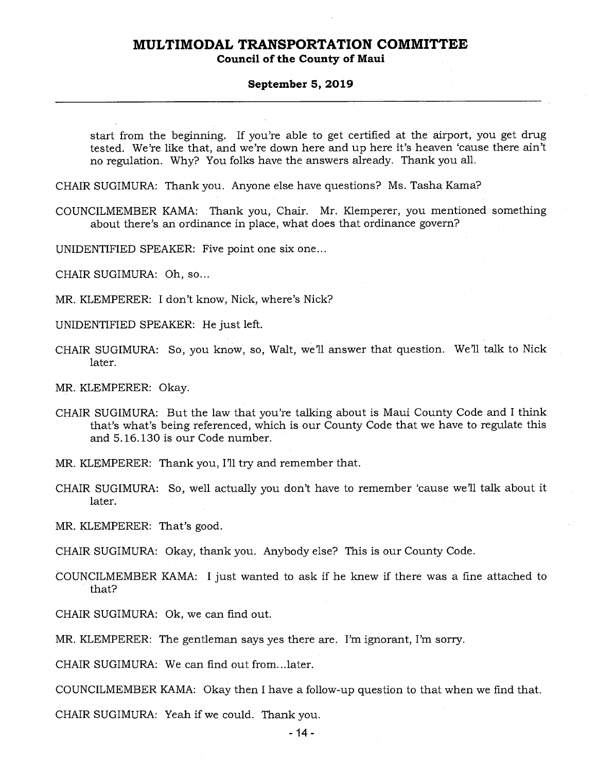**Council of the County of Maui** 

#### **September 5, 2019**

start from the beginning. If you're able to get certified at the airport, you get drug tested. We're like that, and we're down here and up here it's heaven 'cause there ain't no regulation. Why? You folks have the answers already. Thank you all.

CHAIR SUGIMURA: Thank you. Anyone else have questions? Ms. Tasha Kama?

COUNCILMEMBER KAMA: Thank you, Chair. Mr. Klemperer, you mentioned something about there's an ordinance in place, what does that ordinance govern?

UNIDENTIFIED SPEAKER: Five point one six one...

CHAIR SUGIMURA: Oh, so...

MR. KLEMPERER: I don't know, Nick, where's Nick?

UNIDENTIFIED SPEAKER: He just left.

CHAIR SUGIMURA: So, you know, so, Walt, we'll answer that question. We'll talk to Nick later.

MR. KLEMPERER: Okay.

CHAIR SUGIMURA: But the law that you're talking about is Maui County Code and I think that's what's being referenced, which is our County Code that we have to regulate this and 5.16.130 is our Code number.

MR. KLEMPERER: Thank you, I'll try and remember that.

CHAIR SUGIMURA: So, well actually you don't have to remember 'cause we'll talk about it later.

MR. KLEMPERER: That's good.

CHAIR SUGIMURA: Okay, thank you. Anybody else? This is our County Code.

COUNCILMEMBER KAMA: I just wanted to ask if he knew if there was a fine attached to that?

CHAIR SUGIMURA: Ok, we can find out.

MR. KLEMPERER: The gentleman says yes there are. I'm ignorant, I'm sorry.

CHAIR SUGIMURA: We can find out from...later.

COUNCILMEMBER KAMA: Okay then I have a follow-up question to that when we find that.

CHAIR SUGIMURA: Yeah if we could. Thank you.

-14-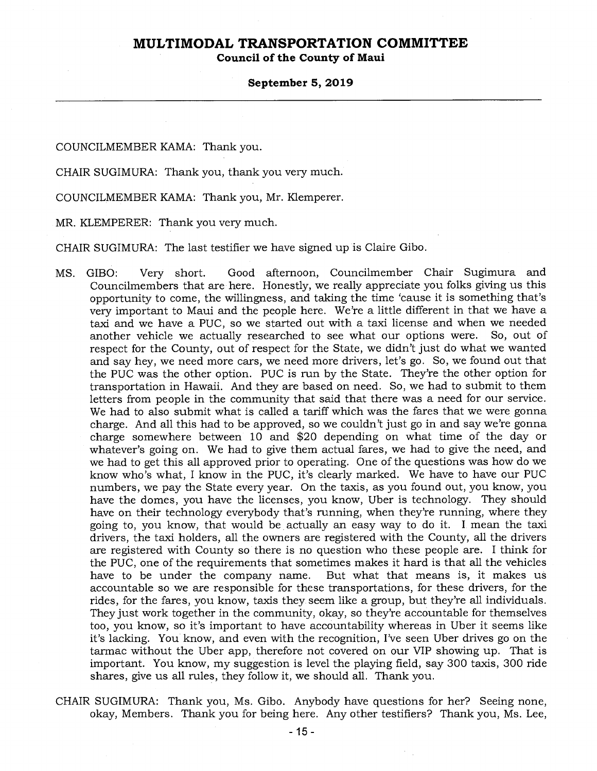**Council of the County of Maui** 

#### **September 5, 2019**

COUNCILMEMBER KAMA: Thank you.

CHAIR SUGIMURA: Thank you, thank you very much.

COUNCILMEMBER KAMA: Thank you, Mr. Klemperer.

MR. KLEMPERER: Thank you very much.

CHAIR SUGIMURA: The last testifier we have signed up is Claire Gibo.

- MS. GIBO: Very short. Good afternoon, Councilmember Chair Sugimura and Councilmembers that are here. Honestly, we really appreciate you folks giving us this opportunity to come, the willingness, and taking the time 'cause it is something that's very important to Maui and the people here. We're a little different in that we have a taxi and we have a PUC, so we started out with a taxi license and when we needed another vehicle we actually researched to see what our options were. So, out of respect for the County, out of respect for the State, we didn't just do what we wanted and say hey, we need more cars, we need more drivers, let's go. So, we found out that the PUC was the other option. PUC is run by the State. They're the other option for transportation in Hawaii. And they are based on need. So, we had to submit to them letters from people in the community that said that there was a need for our service. We had to also submit what is called a tariff which was the fares that we were gonna charge. And all this had to be approved, so we couldn't just go in and say we're gonna charge somewhere between 10 and \$20 depending on what time of the day or whatever's going on. We had to give them actual fares, we had to give the need, and we had to get this all approved prior to operating. One of the questions was how do we know who's what, I know in the PUC, it's clearly marked. We have to have our PUC numbers, we pay the State every year. On the taxis, as you found out, you know, you have the domes, you have the licenses, you know, Uber is technology. They should have on their technology everybody that's running, when they're running, where they going to, you know, that would be actually an easy way to do it. I mean the taxi drivers, the taxi holders, all the owners are registered with the County, all the drivers are registered with County so there is no question who these people are. I think for the PUC, one of the requirements that sometimes makes it hard is that all the vehicles have to be under the company name. But what that means is, it makes us accountable so we are responsible for these transportations, for these drivers, for the rides, for the fares, you know, taxis they seem like a group, but they're all individuals. They just work together in the community, okay, so they're accountable for themselves too, you know, so it's important to have accountability whereas in Uber it seems like it's lacking. You know, and even with the recognition, I've seen Uber drives go on the tarmac without the Uber app, therefore not covered on our VIP showing up. That is important. You know, my suggestion is level the playing field, say 300 taxis, 300 ride shares, give us all rules, they follow it, we should all. Thank you.
- CHAIR SUGIMURA: Thank you, Ms. Gibo. Anybody have questions for her? Seeing none, okay, Members. Thank you for being here. Any other testifiers? Thank you, Ms. Lee,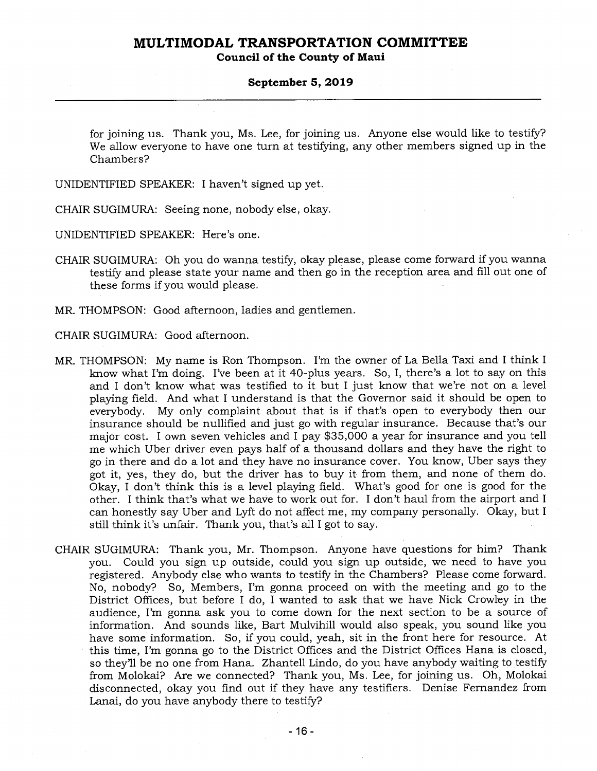**Council of the County of Maui** 

#### **September 5, 2019**

for joining us. Thank you, Ms. Lee, for joining us. Anyone else would like to testify? We allow everyone to have one turn at testifying, any other members signed up in the Chambers?

UNIDENTIFIED SPEAKER: I haven't signed up yet.

CHAIR SUGIMURA: Seeing none, nobody else, okay.

UNIDENTIFIED SPEAKER: Here's one.

- CHAIR SUGIMURA: Oh you do wanna testify, okay please, please come forward if you wanna testify and please state your name and then go in the reception area and fill out one of these forms if you would please.
- MR. THOMPSON: Good afternoon, ladies and gentlemen.
- CHAIR SUGIMURA: Good afternoon.
- MR. THOMPSON: My name is Ron Thompson. I'm the owner of La Bella Taxi and I think I know what I'm doing. I've been at it 40-plus years. So, I, there's a lot to say on this and I don't know what was testified to it but I just know that we're not on a level playing field. And what I understand is that the Governor said it should be open to everybody. My only complaint about that is if that's open to everybody then our insurance should be nullified and just go with regular insurance. Because that's our major cost. I own seven vehicles and I pay \$35,000 a year for insurance and you tell me which Uber driver even pays half of a thousand dollars and they have the right to go in there and do a lot and they have no insurance cover. You know, Uber says they got it, yes, they do, but the driver has to buy it from them, and none of them do. Okay, I don't think this is a level playing field. What's good for one is good for the other. I think that's what we have to work out for. I don't haul from the airport and I can honestly say Uber and Lyft do not affect me, my company personally. Okay, but I still think it's unfair. Thank you, that's all I got to say.
- CHAIR SUGIMURA: Thank you, Mr. Thompson. Anyone have questions for him? Thank you. Could you sign up outside, could you sign up outside, we need to have you registered. Anybody else who wants to testify in the Chambers? Please come forward. No, nobody? So, Members, I'm gonna proceed on with the meeting and go to the District Offices, but before I do, I wanted to ask that we have Nick Crowley in the audience, I'm gonna ask you to come down for the next section to be a source of information. And sounds like, Bart Mulvihill would also speak, you sound like you have some information. So, if you could, yeah, sit in the front here for resource. At this time, I'm gonna go to the District Offices and the District Offices Hana is closed, so they'll be no one from Hana. Zhantell Lindo, do you have anybody waiting to testify from Molokai? Are we connected? Thank you, Ms. Lee, for joining us. Oh, Molokai disconnected, okay you find out if they have any testifiers. Denise Fernandez from Lanai, do you have anybody there to testify?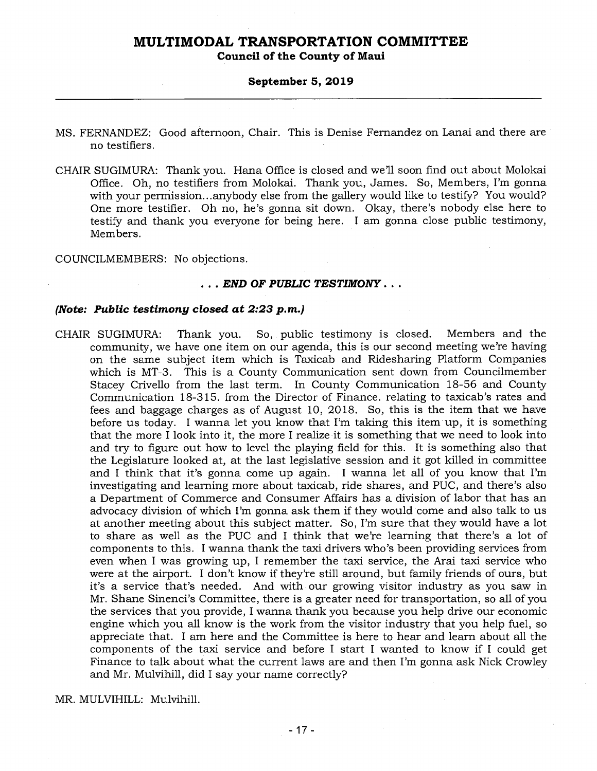**Council of the County of Maui** 

#### **September 5, 2019**

- MS. FERNANDEZ: Good afternoon, Chair. This is Denise Fernandez on Lanai and there are no testifiers.
- CHAIR SUGIMURA: Thank you. Hana Office is closed and we'll soon find out about Molokai Office. Oh, no testifiers from Molokai. Thank you, James. So, Members, I'm gonna with your permission...anybody else from the gallery would like to testify? You would? One more testifier. Oh no, he's gonna sit down. Okay, there's nobody else here to testify and thank you everyone for being here. I am gonna close public testimony, Members.

COUNCILMEMBERS: No objections.

#### . . . *END OF PUBLIC TESTIMONY . . .*

### *(Note: Public testimony closed at 2:23 p.m.)*

CHAIR SUGIMURA: Thank you. So, public testimony is closed. Members and the community, we have one item on our agenda, this is our second meeting we're having on the same subject item which is Taxicab and Ridesharing Platform Companies which is MT-3. This is a County Communication sent down from Councilmember Stacey Crivello from the last term. In County Communication 18-56 and County Communication 18-315. from the Director of Finance. relating to taxicab's rates and fees and baggage charges as of August 10, 2018. So, this is the item that we have before us today. I wanna let you know that I'm taking this item up, it is something that the more I look into it, the more I realize it is something that we need to look into and try to figure out how to level the playing field for this. It is something also that the Legislature looked at, at the last legislative session and it got killed in committee and I think that it's gonna come up again. I wanna let all of you know that I'm investigating and learning more about taxicab, ride shares, and PUC, and there's also a Department of Commerce and Consumer Affairs has a division of labor that has an advocacy division of which I'm gonna ask them if they would come and also talk to us at another meeting about this subject matter. So, I'm sure that they would have a lot to share as well as the PUC and I think that we're learning that there's a lot of components to this. I wanna thank the taxi drivers who's been providing services from even when I was growing up, I remember the taxi service, the Arai taxi service who were at the airport. I don't know if they're still around, but family friends of ours, but it's a service that's needed. And with our growing visitor industry as you saw in Mr. Shane Sinenci's Committee, there is a greater need for transportation, so all of you the services that you provide, I wanna thank you because you help drive our economic engine which you all know is the work from the visitor industry that you help fuel, so appreciate that. I am here and the Committee is here to hear and learn about all the components of the taxi service and before I start I wanted to know if I could get Finance to talk about what the current laws are and then I'm gonna ask Nick Crowley and Mr. Mulvihill, did I say your name correctly?

MR. MULVIHILL: Mulvihill.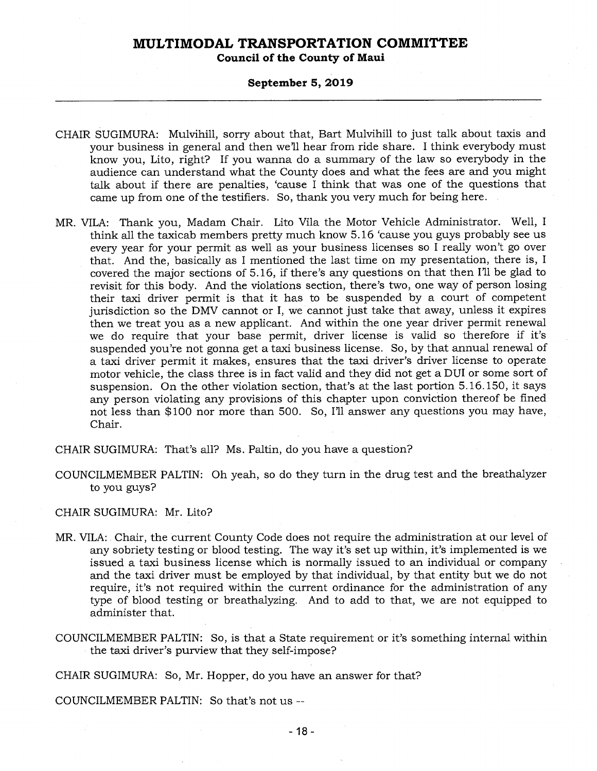**Council of the County of Maui** 

#### **September 5, 2019**

- CHAIR SUGIMURA: Mulvihill, sorry about that, Bart Mulvihill to just talk about taxis and your business in general and then we'll hear from ride share. I think everybody must know you, Lito, right? If you wanna do a summary of the law so everybody in the audience can understand what the County does and what the fees are and you might talk about if there are penalties, 'cause I think that was one of the questions that came up from one of the testifiers. So, thank you very much for being here.
- MR. VILA: Thank you, Madam Chair. Lito Vila the Motor Vehicle Administrator. Well, I think all the taxicab members pretty much know 5.16 'cause you guys probably see us every year for your permit as well as your business licenses so I really won't go over that. And the, basically as I mentioned the last time on my presentation, there is, I covered the major sections of 5.16, if there's any questions on that then I'll be glad to revisit for this body. And the violations section, there's two, one way of person losing their taxi driver permit is that it has to be suspended by a court of competent jurisdiction so the DMV cannot or I, we cannot just take that away, unless it expires then we treat you as a new applicant. And within the one year driver permit renewal we do require that your base permit, driver license is valid so therefore if it's suspended you're not gonna get a taxi business license. So, by that annual renewal of a taxi driver permit it makes, ensures that the taxi driver's driver license to operate motor vehicle, the class three is in fact valid and they did not get a DUI or some sort of suspension. On the other violation section, that's at the last portion 5.16.150, it says any person violating any provisions of this chapter upon conviction thereof be fined not less than \$100 nor more than 500. So, I'll answer any questions you may have, Chair.
- CHAIR SUGIMURA: That's all? Ms. Paltin, do you have a question?
- COUNCILMEMBER PALTIN: Oh yeah, so do they turn in the drug test and the breathalyzer to you guys?

CHAIR SUGIMURA: Mr. Lito?

- MR. VILA: Chair, the current County Code does not require the administration at our level of any sobriety testing or blood testing. The way it's set up within, it's implemented is we issued a taxi business license which is normally issued to an individual or company and the taxi driver must be employed by that individual, by that entity but we do not require, it's not required within the current ordinance for the administration of any type of blood testing or breathalyzing. And to add to that, we are not equipped to administer that.
- COUNCILMEMBER PALTIN: So, is that a State requirement or it's something internal within the taxi driver's purview that they self-impose?

CHAIR SUGIMURA: So, Mr. Hopper, do you have an answer for that?

COUNCILMEMBER PALTIN: So that's not us --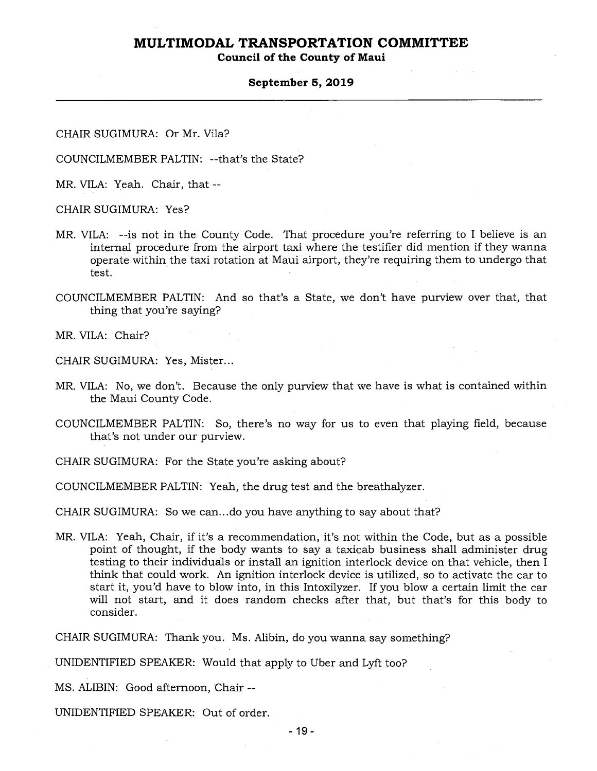**Council of the County of Maui** 

#### **September 5, 2019**

CHAIR SUGIMURA: Or Mr. Vila?

COUNCILMEMBER PALTIN: --that's the State?

MR. VILA: Yeah. Chair, that --

CHAIR SUGIMURA: Yes?

- MR. VILA: --is not in the County Code. That procedure you're referring to I believe is an internal procedure from the airport taxi where the testifier did mention if they wanna operate within the taxi rotation at Maui airport, they're requiring them to undergo that test.
- COUNCILMEMBER PALTIN: And so that's a State, we don't have purview over that, that thing that you're saying?

MR. VILA: Chair?

CHAIR SUGIMURA: Yes, Mister...

- MR. VILA: No, we don't. Because the only purview that we have is what is contained within the Maui County Code.
- COUNCILMEMBER PALTIN: So, there's no way for us to even that playing field, because that's not under our purview.
- CHAIR SUGIMURA: For the State you're asking about?

COUNCILMEMBER PALTIN: Yeah, the drug test and the breathalyzer.

CHAIR SUGIMURA: So we can...do you have anything to say about that?

MR. VILA: Yeah, Chair, if it's a recommendation, it's not within the Code, but as a possible point of thought, if the body wants to say a taxicab business shall administer drug testing to their individuals or install an ignition interlock device on that vehicle, then I think that could work. An ignition interlock device is utilized, so to activate the car to start it, you'd have to blow into, in this Intoxilyzer. If you blow a certain limit the car will not start, and it does random checks after that, but that's for this body to consider.

CHAIR SUGIMURA: Thank you. Ms. Alibin, do you wanna say something?

UNIDENTIFIED SPEAKER: Would that apply to Uber and Lyft too?

MS. ALIBIN: Good afternoon, Chair --

UNIDENTIFIED SPEAKER: Out of order.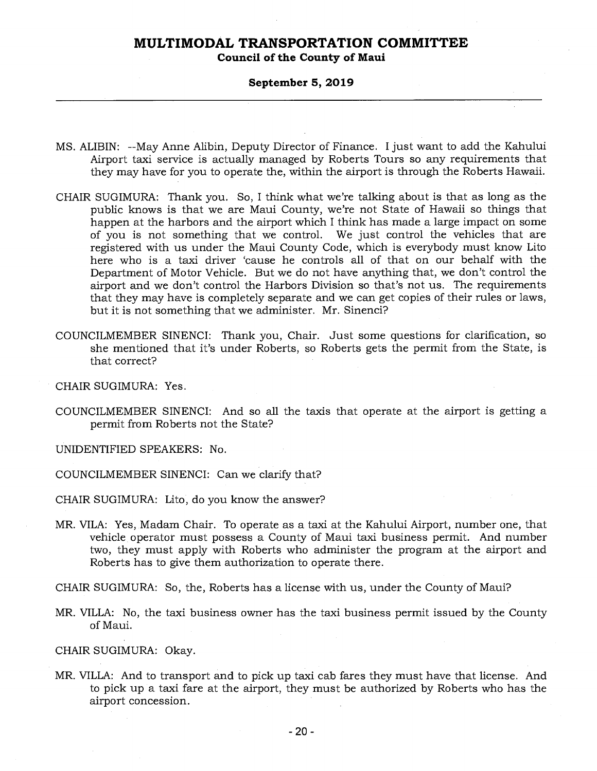**Council of the County of Maui** 

#### **September 5, 2019**

- MS. ALIBIN: --May Anne Alibin, Deputy Director of Finance. I just want to add the Kahului Airport taxi service is actually managed by Roberts Tours so any requirements that they may have for you to operate the, within the airport is through the Roberts Hawaii.
- CHAIR SUGIMURA: Thank you. So, I think what we're talking about is that as long as the public knows is that we are Maui County, we're not State of Hawaii so things that happen at the harbors and the airport which I think has made a large impact on some of you is not something that we control. We just control the vehicles that are registered with us under the Maui County Code, which is everybody must know Lito here who is a taxi driver 'cause he controls all of that on our behalf with the Department of Motor Vehicle. But we do not have anything that, we don't control the airport and we don't control the Harbors Division so that's not us. The requirements that they may have is completely separate and we can get copies of their rules or laws, but it is not something that we administer. Mr. Sinenci?
- COUNCILMEMBER SINENCI: Thank you, Chair. Just some questions for clarification, so she mentioned that it's under Roberts, so Roberts gets the permit from the State, is that correct?

CHAIR SUGIMURA: Yes.

COUNCILMEMBER SINENCI: And so all the taxis that operate at the airport is getting a permit from Roberts not the State?

UNIDENTIFIED SPEAKERS: No.

COUNCILMEMBER SINENCI: Can we clarify that?

CHAIR SUGIMURA: Lito, do you know the answer?

- MR. VILA: Yes, Madam Chair. To operate as a taxi at the Kahului Airport, number one, that vehicle operator must possess a County of Maui taxi business permit. And number two, they must apply with Roberts who administer the program at the airport and Roberts has to give them authorization to operate there.
- CHAIR SUGIMURA: So, the, Roberts has a license with us, under the County of Maui?
- MR. VILLA: No, the taxi business owner has the taxi business permit issued by the County of Maui.

CHAIR SUGIMURA: Okay.

MR. VILLA: And to transport and to pick up taxi cab fares they must have that license. And to pick up a taxi fare at the airport, they must be authorized by Roberts who has the airport concession.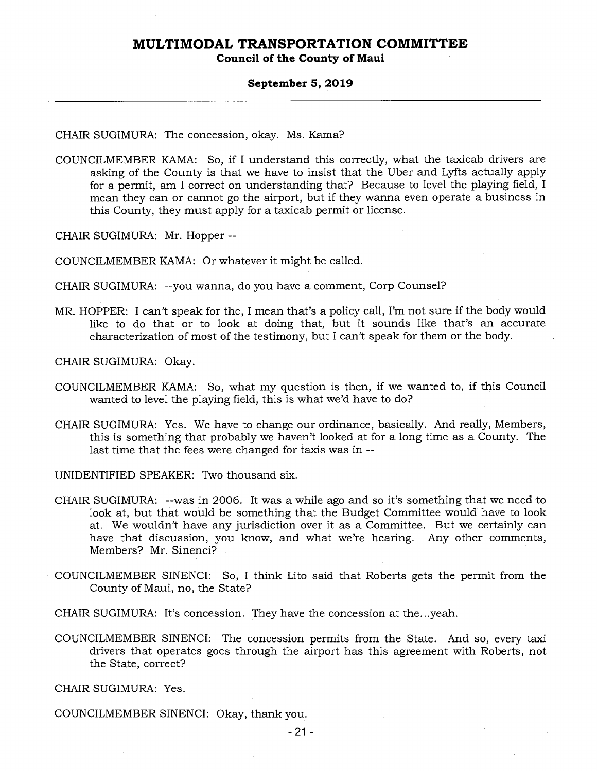### **Council of the County of Maui**

#### **September 5, 2019**

CHAIR SUGIMURA: The concession, okay. Ms. Kama?

COUNCILMEMBER KAMA: So, if I understand this correctly, what the taxicab drivers are asking of the County is that we have to insist that the Uber and Lyfts actually apply for a permit, am I correct on understanding that? Because to level the playing field, I mean they can or cannot go the airport, but if they wanna even operate a business in this County, they must apply for a taxicab permit or license.

CHAIR SUGIMURA: Mr. Hopper --

COUNCILMEMBER KAMA: Or whatever it might be called.

CHAIR SUGIMURA: --you wanna, do you have a comment, Corp Counsel?

MR. HOPPER: I can't speak for the, I mean that's a policy call, I'm not sure if the body would like to do that or to look at doing that, but it sounds like that's an accurate characterization of most of the testimony, but I can't speak for them or the body.

CHAIR SUGIMURA: Okay.

- COUNCILMEMBER KAMA: So, what my question is then, if we wanted to, if this Council wanted to level the playing field, this is what we'd have to do?
- CHAIR SUGIMURA: Yes. We have to change our ordinance, basically. And really, Members, this is something that probably we haven't looked at for a long time as a County. The last time that the fees were changed for taxis was in --

UNIDENTIFIED SPEAKER: Two thousand six.

- CHAIR SUGIMURA: --was in 2006. It was a while ago and so it's something that we need to look at, but that would be something that the Budget Committee would have to look at. We wouldn't have any jurisdiction over it as a Committee. But we certainly can have that discussion, you know, and what we're hearing. Any other comments, Members? Mr. Sinenci?
- COUNCILMEMBER SINENCI: So, I think Lito said that Roberts gets the permit from the County of Maui, no, the State?

CHAIR SUGIMURA: It's concession. They have the concession at the...yeah.

COUNCILMEMBER SINENCI: The concession permits from the State. And so, every taxi drivers that operates goes through the airport has this agreement with Roberts, not the State, correct?

CHAIR SUGIMURA: Yes.

COUNCILMEMBER SINENCI: Okay, thank you.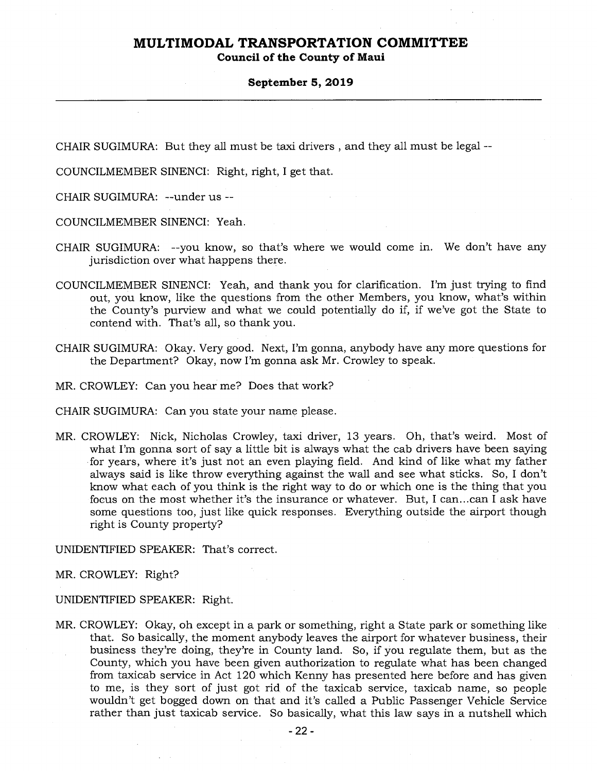**Council of the County of Maui** 

#### **September 5, 2019**

CHAIR SUGIMURA: But they all must be taxi drivers , and they all must be legal --

COUNCILMEMBER SINENCI: Right, right, I get that.

CHAIR SUGIMURA: --under us --

COUNCILMEMBER SINENCI: Yeah.

- CHAIR SUGIMURA: --you know, so that's where we would come in. We don't have any jurisdiction over what happens there.
- COUNCILMEMBER SINENCI: Yeah, and thank you for clarification. I'm just trying to find out, you know, like the questions from the other Members, you know, what's within the County's purview and what we could potentially do if, if we've got the State to contend with. That's all, so thank you.
- CHAIR SUGIMURA: Okay. Very good. Next, I'm gonna, anybody have any more questions for the Department? Okay, now I'm gonna ask Mr. Crowley to speak.
- MR. CROWLEY: Can you hear me? Does that work?
- CHAIR SUGIMURA: Can you state your name please.
- MR. CROWLEY: Nick, Nicholas Crowley, taxi driver, 13 years. Oh, that's weird. Most of what I'm gonna sort of say a little bit is always what the cab drivers have been saying for years, where it's just not an even playing field. And kind of like what my father always said is like throw everything against the wall and see what sticks. So, I don't know what each of you think is the right way to do or which one is the thing that you focus on the most whether it's the insurance or whatever. But, I can...can I ask have some questions too, just like quick responses. Everything outside the airport though right is County property?

UNIDENTIFIED SPEAKER: That's correct.

MR. CROWLEY: Right?

UNIDENTIFIED SPEAKER: Right.

MR. CROWLEY: Okay, oh except in a park or something, right a State park or something like that. So basically, the moment anybody leaves the airport for whatever business, their business they're doing, they're in County land. So, if you regulate them, but as the County, which you have been given authorization to regulate what has been changed from taxicab service in Act 120 which Kenny has presented here before and has given to me, is they sort of just got rid of the taxicab service, taxicab name, so people wouldn't get bogged down on that and it's called a Public Passenger Vehicle Service rather than just taxicab service. So basically, what this law says in a nutshell which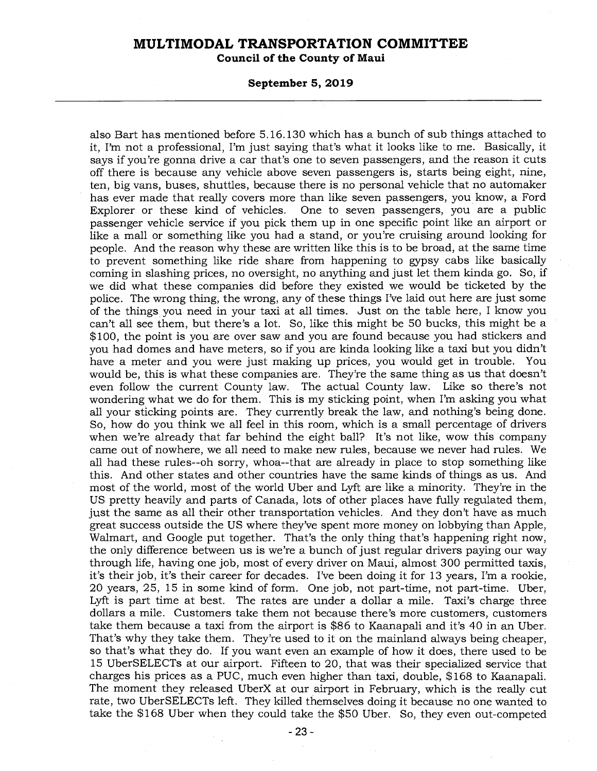**Council of the County of Maui** 

#### **September 5, 2019**

also Bart has mentioned before 5.16.130 which has a bunch of sub things attached to it, I'm not a professional, I'm just saying that's what it looks like to me. Basically, it says if you're gonna drive a car that's one to seven passengers, and the reason it cuts off there is because any vehicle above seven passengers is, starts being eight, nine, ten, big vans, buses, shuttles, because there is no personal vehicle that no automaker has ever made that really covers more than like seven passengers, you know, a Ford One to seven passengers, you are a public passenger vehicle service if you pick them up in one specific point like an airport or like a mall or something like you had a stand, or you're cruising around looking for people. And the reason why these are written like this is to be broad, at the same time to prevent something like ride share from happening to gypsy cabs like basically coming in slashing prices, no oversight, no anything and just let them kinda go. So, if we did what these companies did before they existed we would be ticketed by the police. The wrong thing, the wrong, any of these things I've laid out here are just some of the things you need in your taxi at all times. Just on the table here, I know you can't all see them, but there's a lot. So, like this might be 50 bucks, this might be a \$100, the point is you are over saw and you are found because you had stickers and you had domes and have meters, so if you are kinda looking like a taxi but you didn't have a meter and you were just making up prices, you would get in trouble. You would be, this is what these companies are. They're the same thing as us that doesn't even follow the current County law. The actual County law. Like so there's not wondering what we do for them. This is my sticking point, when I'm asking you what all your sticking points are. They currently break the law, and nothing's being done. So, how do you think we all feel in this room, which is a small percentage of drivers when we're already that far behind the eight ball? It's not like, wow this company came out of nowhere, we all need to make new rules, because we never had rules. We all had these rules--oh sorry, whoa--that are already in place to stop something like this. And other states and other countries have the same kinds of things as us. And most of the world, most of the world Uber and Lyft are like a minority. They're in the US pretty heavily and parts of Canada, lots of other places have fully regulated them, just the same as all their other transportation vehicles. And they don't have as much great success outside the US where they've spent more money on lobbying than Apple, Walmart, and Google put together. That's the only thing that's happening right now, the only difference between us is we're a bunch of just regular drivers paying our way through life, having one job, most of every driver on Maui, almost 300 permitted taxis, it's their job, it's their career for decades. I've been doing it for 13 years, I'm a rookie, 20 years, 25, 15 in some kind of form. One job, not part-time, not part-time. Uber, Lyft is part time at best. The rates are under a dollar a mile. Taxi's charge three dollars a mile. Customers take them not because there's more customers, customers take them because a taxi from the airport is \$86 to Kaanapali and it's 40 in an Uber. That's why they take them. They're used to it on the mainland always being cheaper, so that's what they do. If you want even an example of how it does, there used to be 15 UberSELECTs at our airport. Fifteen to 20, that was their specialized service that charges his prices as a PUC, much even higher than taxi, double, \$168 to Kaanapali. The moment they released UberX at our airport in February, which is the really cut rate, two UberSELECTs left. They killed themselves doing it because no one wanted to take the \$168 Uber when they could take the \$50 Uber. So, they even out-competed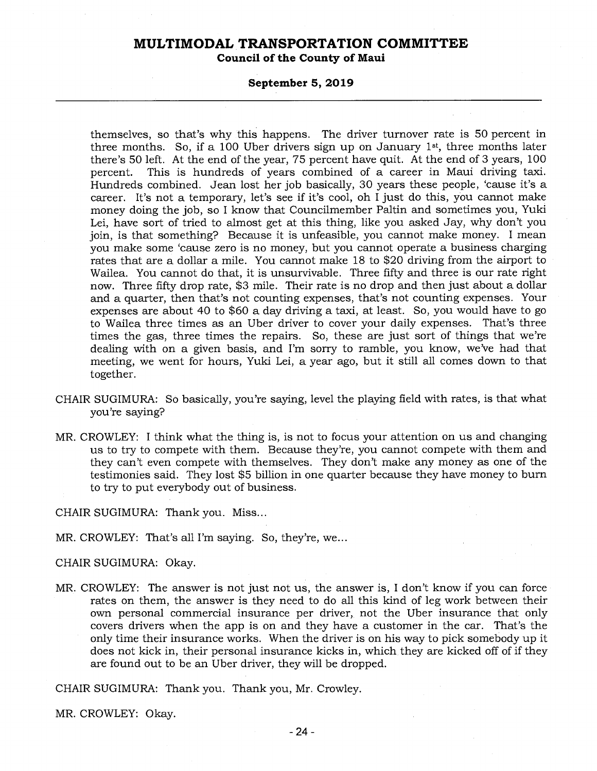**Council of the County of Maui** 

#### **September 5, 2019**

themselves, so that's why this happens. The driver turnover rate is 50 percent in three months. So, if a 100 Uber drivers sign up on January  $1^{st}$ , three months later there's 50 left. At the end of the year, 75 percent have quit. At the end of 3 years, 100 percent. This is hundreds of years combined of a career in Maui driving taxi. Hundreds combined. Jean lost her job basically, 30 years these people, 'cause it's a career. It's not a temporary, let's see if it's cool, oh I just do this, you cannot make money doing the job, so I know that Councilmember Paltin and sometimes you, Yuki Lei, have sort of tried to almost get at this thing, like you asked Jay, why don't you join, is that something? Because it is unfeasible, you cannot make money. I mean you make some 'cause zero is no money, but you cannot operate a business charging rates that are a dollar a mile. You cannot make 18 to \$20 driving from the airport to Wailea. You cannot do that, it is unsurvivable. Three fifty and three is our rate right now. Three fifty drop rate, \$3 mile. Their rate is no drop and then just about a dollar and a quarter, then that's not counting expenses, that's not counting expenses. Your expenses are about 40 to \$60 a day driving a taxi, at least. So, you would have to go to Wailea three times as an Uber driver to cover your daily expenses. That's three times the gas, three times the repairs. So, these are just sort of things that we're dealing with on a given basis, and I'm sorry to ramble, you know, we've had that meeting, we went for hours, Yuki Lei, a year ago, but it still all comes down to that together.

- CHAIR SUGIMURA: So basically, you're saying, level the playing field with rates, is that what you're saying?
- MR. CROWLEY: I think what the thing is, is not to focus your attention on us and changing us to try to compete with them. Because they're, you cannot compete with them and they can't even compete with themselves. They don't make any money as one of the testimonies said. They lost \$5 billion in one quarter because they have money to burn to try to put everybody out of business.

CHAIR SUGIMURA: Thank you. Miss...

MR. CROWLEY: That's all I'm saying. So, they're, we...

CHAIR SUGIMURA: Okay.

MR. CROWLEY: The answer is not just not us, the answer is, I don't know if you can force rates on them, the answer is they need to do all this kind of leg work between their own personal commercial insurance per driver, not the Uber insurance that only covers drivers when the app is on and they have a customer in the car. That's the only time their insurance works. When the driver is on his way to pick somebody up it does not kick in, their personal insurance kicks in, which they are kicked off of if they are found out to be an Uber driver, they will be dropped.

CHAIR SUGIMURA: Thank you. Thank you, Mr. Crowley.

MR. CROWLEY: Okay.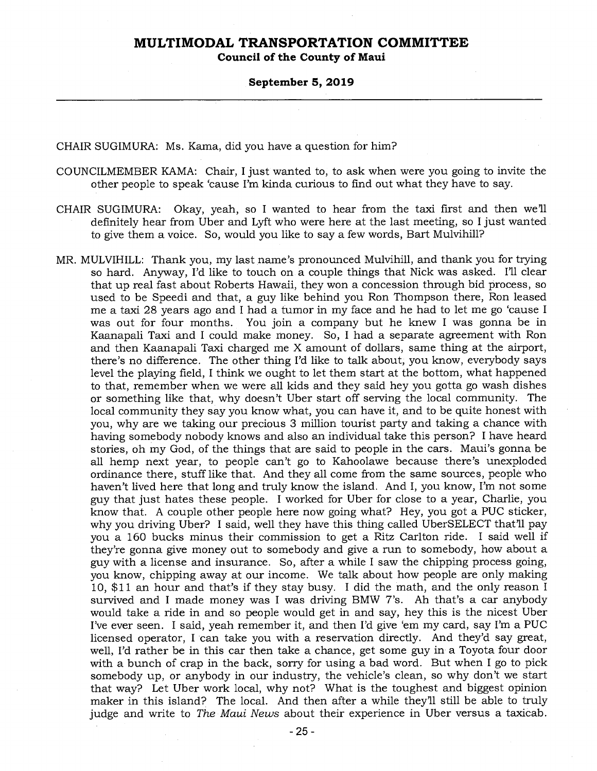**Council of the County of Maui** 

#### **September 5, 2019**

CHAIR SUGIMURA: Ms. Kama, did you have a question for him?

- COUNCILMEMBER KAMA: Chair, I just wanted to, to ask when were you going to invite the other people to speak 'cause I'm kinda curious to find out what they have to say.
- CHAIR SUGIMURA: Okay, yeah, so I wanted to hear from the taxi first and then we'll definitely hear from Uber and Lyft who were here at the last meeting, so I just wanted to give them a voice. So, would you like to say a few words, Bart Mulvihill?
- MR. MULVIHILL: Thank you, my last name's pronounced Mulvihill, and thank you for trying so hard. Anyway, I'd like to touch on a couple things that Nick was asked. I'll clear that up real fast about Roberts Hawaii, they won a concession through bid process, so used to be Speedi and that, a guy like behind you Ron Thompson there, Ron leased me a taxi 28 years ago and I had a tumor in my face and he had to let me go 'cause I was out for four months. You join a company but he knew I was gonna be in Kaanapali Taxi and I could make money. So, I had a separate agreement with Ron and then Kaanapali Taxi charged me X amount of dollars, same thing at the airport, there's no difference. The other thing I'd like to talk about, you know, everybody says level the playing field, I think we ought to let them start at the bottom, what happened to that, remember when we were all kids and they said hey you gotta go wash dishes or something like that, why doesn't Uber start off serving the local community. The local community they say you know what, you can have it, and to be quite honest with you, why are we taking our precious 3 million tourist party and taking a chance with having somebody nobody knows and also an individual take this person? I have heard stories, oh my God, of the things that are said to people in the cars. Maui's gonna be all hemp next year, to people can't go to Kahoolawe because there's unexploded ordinance there, stuff like that. And they all come from the same sources, people who haven't lived here that long and truly know the island. And I, you know, I'm not some guy that just hates these people. I worked for Uber for close to a year, Charlie, you know that. A couple other people here now going what? Hey, you got a PUC sticker, why you driving Uber? I said, well they have this thing called UberSELECT that'll pay you a 160 bucks minus their commission to get a Ritz Carlton ride. I said well if they're gonna give money out to somebody and give a run to somebody, how about a guy with a license and insurance. So, after a while I saw the chipping process going, you know, chipping away at our income. We talk about how people are only making 10, \$11 an hour and that's if they stay busy. I did the math, and the only reason I survived and I made money was I was driving BMW 7's. Ah that's a car anybody would take a ride in and so people would get in and say, hey this is the nicest Uber I've ever seen. I said, yeah remember it, and then I'd give 'em my card, say I'm a PUC licensed operator, I can take you with a reservation directly. And they'd say great, well, I'd rather be in this car then take a chance, get some guy in a Toyota four door with a bunch of crap in the back, sorry for using a bad word. But when I go to pick somebody up, or anybody in our industry, the vehicle's clean, so why don't we start that way? Let Uber work local, why not? What is the toughest and biggest opinion maker in this island? The local. And then after a while they'll still be able to truly judge and write to *The Maui News* about their experience in Uber versus a taxicab.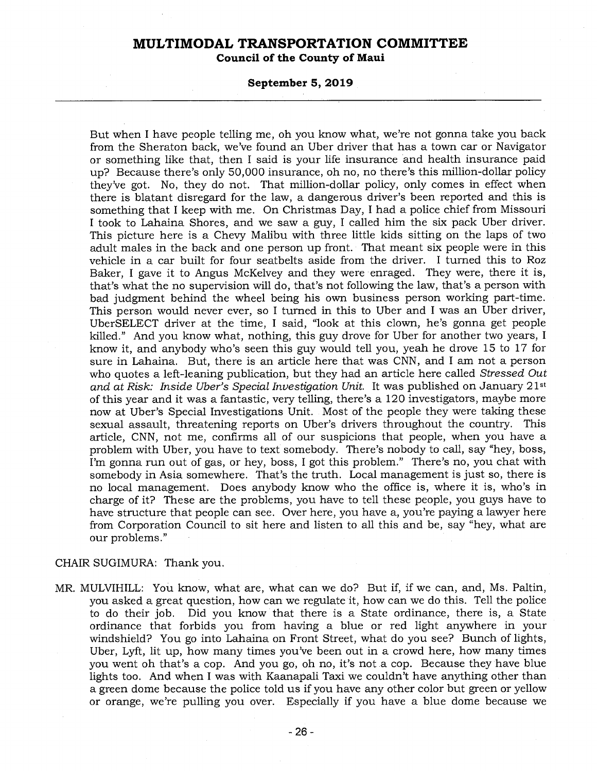**Council of the County of Maui** 

#### **September 5, 2019**

But when I have people telling me, oh you know what, we're not gonna take you back from the Sheraton back, we've found an Uber driver that has a town car or Navigator or something like that, then I said is your life insurance and health insurance paid up? Because there's only 50,000 insurance, oh no, no there's this million-dollar policy they've got. No, they do not. That million-dollar policy, only comes in effect when there is blatant disregard for the law, a dangerous driver's been reported and this is something that I keep with me. On Christmas Day, I had a police chief from Missouri I took to Lahaina Shores, and we saw a guy, I called him the six pack Uber driver. This picture here is a Chevy Malibu with three little kids sitting on the laps of two adult males in the back and one person up front. That meant six people were in this vehicle in a car built for four seatbelts aside from the driver. I turned this to Roz Baker, I gave it to Angus McKelvey and they were enraged. They were, there it is, that's what the no supervision will do, that's not following the law, that's a person with bad judgment behind the wheel being his own business person working part-time. This person would never ever, so I turned in this to Uber and I was an Uber driver, UberSELECT driver at the time, I said, "look at this clown, he's gonna get people killed." And you know what, nothing, this guy drove for Uber for another two years, I know it, and anybody who's seen this guy would tell you, yeah he drove 15 to 17 for sure in Lahaina. But, there is an article here that was CNN, and I am not a person who quotes a left-leaning publication, but they had an article here called *Stressed Out and at Risk: Inside Uber's Special Investigation Unit.* It was published on January 21st of this year and it was a fantastic, very telling, there's a 120 investigators, maybe more now at Uber's Special Investigations Unit. Most of the people they were taking these sexual assault, threatening reports on Uber's drivers throughout the country. This article, CNN, not me, confirms all of our suspicions that people, when you have a problem with Uber, you have to text somebody. There's nobody to call, say "hey, boss, I'm gonna run out of gas, or hey, boss, I got this problem." There's no, you chat with somebody in Asia somewhere. That's the truth. Local management is just so, there is no local management. Does anybody know who the office is, where it is, who's in charge of it? These are the problems, you have to tell these people, you guys have to have structure that people can see. Over here, you have a, you're paying a lawyer here from Corporation Council to sit here and listen to all this and be, say "hey, what are our problems."

### CHAIR SUGIMURA: Thank you.

MR. MULVIHILL: You know, what are, what can we do? But if, if we can, and, Ms. Paltin, you asked a great question, how can we regulate it, how can we do this. Tell the police to do their job. Did you know that there is a State ordinance, there is, a State ordinance that forbids you from having a blue or red light anywhere in your windshield? You go into Lahaina on Front Street, what do you see? Bunch of lights, Uber, Lyft, lit up, how many times you've been out in a crowd here, how many times you went oh that's a cop. And you go, oh no, it's not a cop. Because they have blue lights too. And when I was with Kaanapali Taxi we couldn't have anything other than a green dome because the police told us if you have any other color but green or yellow or orange, we're pulling you over. Especially if you have a blue dome because we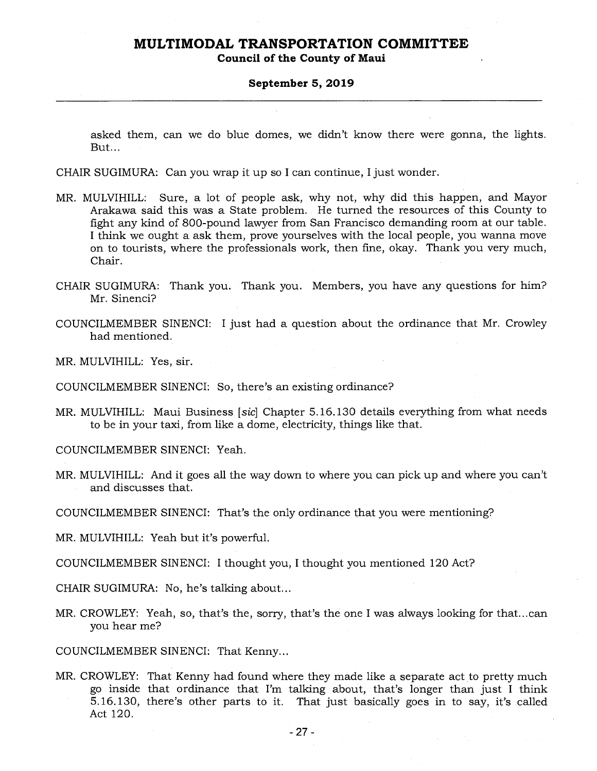**Council of the County of Maui** 

#### **September 5, 2019**

asked them, can we do blue domes, we didn't know there were gonna, the lights. But...

CHAIR SUGIMURA: Can you wrap it up so I can continue, I just wonder.

- MR. MULVIHILL: Sure, a lot of people ask, why not, why did this happen, and Mayor Arakawa said this was a State problem. He turned the resources of this County to fight any kind of 800-pound lawyer from San Francisco demanding room at our table. I think we ought a ask them, prove yourselves with the local people, you wanna move on to tourists, where the professionals work, then fine, okay. Thank you very much, Chair.
- CHAIR SUGIMURA: Thank you. Thank you. Members, you have any questions for him? Mr. Sinenci?
- COUNCILMEMBER SINENCI: I just had a question about the ordinance that Mr. Crowley had mentioned.

MR. MULVIHILL: Yes, sir.

COUNCILMEMBER SINENCI: So, there's an existing ordinance?

MR. MULVIHILL: Maui Business *[sic]* Chapter 5.16.130 details everything from what needs to be in your taxi, from like a dome, electricity, things like that.

COUNCILMEMBER SINENCI: Yeah.

MR. MULVIHILL: And it goes all the way down to where you can pick up and where you can't and discusses that.

COUNCILMEMBER SINENCI: That's the only ordinance that you were mentioning?

MR. MULVIHILL: Yeah but it's powerful.

COUNCILMEMBER SINENCI: I thought you, I thought you mentioned 120 Act?

CHAIR SUGIMURA: No, he's talking about...

MR. CROWLEY: Yeah, so, that's the, sorry, that's the one I was always looking for that...can you hear me?

COUNCILMEMBER SINENCI: That Kenny...

MR. CROWLEY: That Kenny had found where they made like a separate act to pretty much go inside that ordinance that I'm talking about, that's longer than just I think 5.16.130, there's other parts to it. That just basically goes in to say, it's called Act 120.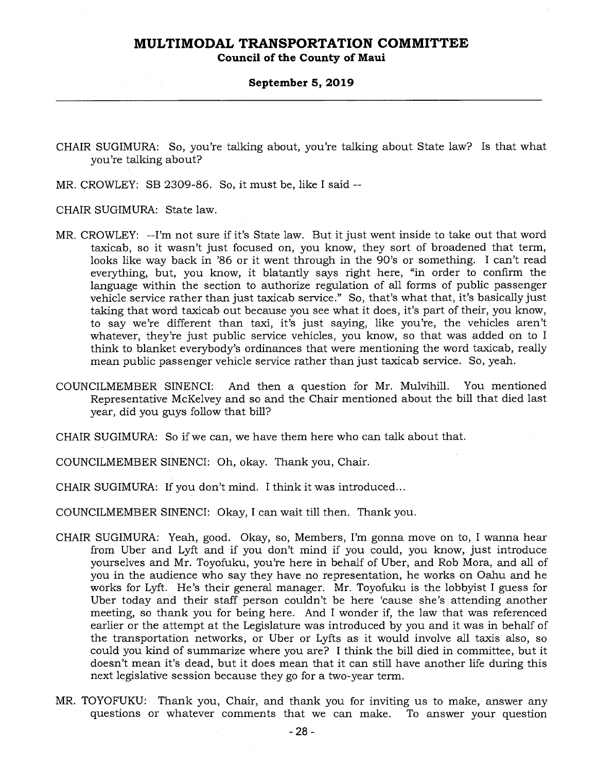**Council of the County of Maui** 

#### **September 5, 2019**

CHAIR SUGIMURA: So, you're talking about, you're talking about State law? Is that what you're talking about?

MR. CROWLEY: SB 2309-86. So, it must be, like I said --

CHAIR SUGIMURA: State law.

- MR. CROWLEY: --I'm not sure if it's State law. But it just went inside to take out that word taxicab, so it wasn't just focused on, you know, they sort of broadened that term, looks like way back in '86 or it went through in the 90's or something. I can't read everything, but, you know, it blatantly says right here, "in order to confirm the language within the section to authorize regulation of all forms of public passenger vehicle service rather than just taxicab service." So, that's what that, it's basically just taking that word taxicab out because you see what it does, it's part of their, you know, to say we're different than taxi, it's just saying, like you're, the vehicles aren't whatever, they're just public service vehicles, you know, so that was added on to I think to blanket everybody's ordinances that were mentioning the word taxicab, really mean public passenger vehicle service rather than just taxicab service. So, yeah.
- COUNCILMEMBER SINENCI: And then a question for Mr. Mulvihill. You mentioned Representative McKelvey and so and the Chair mentioned about the bill that died last year, did you guys follow that bill?
- CHAIR SUGIMURA: So if we can, we have them here who can talk about that.
- COUNCILMEMBER SINENCI: Oh, okay. Thank you, Chair.
- CHAIR SUGIMURA: If you don't mind. I think it was introduced...
- COUNCILMEMBER SINENCI: Okay, I can wait till then. Thank you.
- CHAIR SUGIMURA: Yeah, good. Okay, so, Members, I'm gonna move on to, I wanna hear from Uber and Lyft and if you don't mind if you could, you know, just introduce yourselves and Mr. Toyofuku, you're here in behalf of Uber, and Rob Mora, and all of you in the audience who say they have no representation, he works on Oahu and he works for Lyft. He's their general manager. Mr. Toyofuku is the lobbyist I guess for Uber today and their staff person couldn't be here 'cause she's attending another meeting, so thank you for being here. And I wonder if, the law that was referenced earlier or the attempt at the Legislature was introduced by you and it was in behalf of the transportation networks, or Uber or Lyfts as it would involve all taxis also, so could you kind of summarize where you are? I think the bill died in committee, but it doesn't mean it's dead, but it does mean that it can still have another life during this next legislative session because they go for a two-year term.
- MR. TOYOFUKU: Thank you, Chair, and thank you for inviting us to make, answer any questions or whatever comments that we can make. To answer your question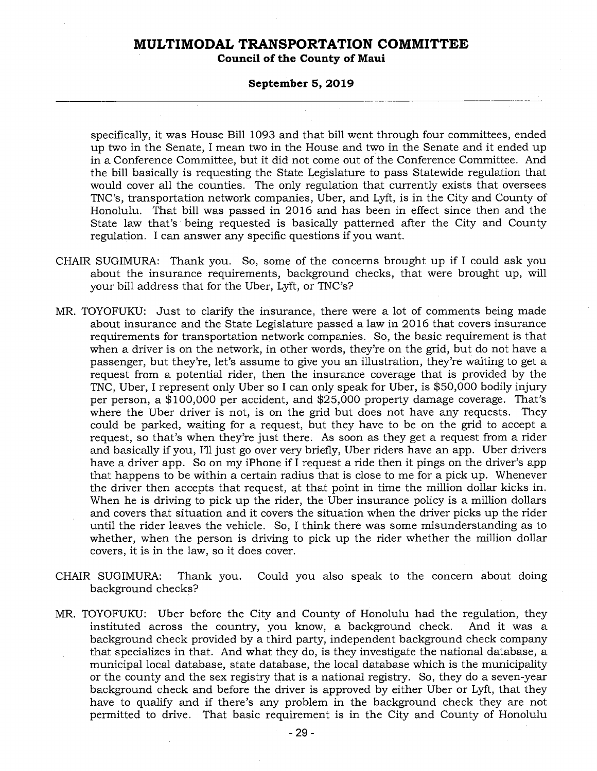**Council of the County of Maui** 

#### **September 5, 2019**

specifically, it was House Bill 1093 and that bill went through four committees, ended up two in the Senate, I mean two in the House and two in the Senate and it ended up in a Conference Committee, but it did not come out of the Conference Committee. And the bill basically is requesting the State Legislature to pass Statewide regulation that would cover all the counties. The only regulation that currently exists that oversees TNC's, transportation network companies, Uber, and Lyft, is in the City and County of Honolulu. That bill was passed in 2016 and has been in effect since then and the State law that's being requested is basically patterned after the City and County regulation. I can answer any specific questions if you want.

- CHAIR SUGIMURA: Thank you. So, some of the concerns brought up if I could ask you about the insurance requirements, background checks, that were brought up, will your bill address that for the Uber, Lyft, or TNC's?
- MR. TOYOFUKU: Just to clarify the insurance, there were a lot of comments being made about insurance and the State Legislature passed a law in 2016 that covers insurance requirements for transportation network companies. So, the basic requirement is that when a driver is on the network, in other words, they're on the grid, but do not have a passenger, but they're, let's assume to give you an illustration, they're waiting to get a request from a potential rider, then the insurance coverage that is provided by the TNC, Uber, I represent only Uber so I can only speak for Uber, is \$50,000 bodily injury per person, a \$100,000 per accident, and \$25,000 property damage coverage. That's where the Uber driver is not, is on the grid but does not have any requests. They could be parked, waiting for a request, but they have to be on the grid to accept a request, so that's when they're just there. As soon as they get a request from a rider and basically if you, I'll just go over very briefly, Uber riders have an app. Uber drivers have a driver app. So on my iPhone if I request a ride then it pings on the driver's app that happens to be within a certain radius that is close to me for a pick up. Whenever the driver then accepts that request, at that point in time the million dollar kicks in. When he is driving to pick up the rider, the Uber insurance policy is a million dollars and covers that situation and it covers the situation when the driver picks up the rider until the rider leaves the vehicle. So, I think there was some misunderstanding as to whether, when the person is driving to pick up the rider whether the million dollar covers, it is in the law, so it does cover.
- CHAIR SUGIMURA: Thank you. Could you also speak to the concern about doing background checks?
- MR. TOYOFUKU: Uber before the City and County of Honolulu had the regulation, they instituted across the country, you know, a background check. And it was a background check provided by a third party, independent background check company that specializes in that. And what they do, is they investigate the national database, a municipal local database, state database, the local database which is the municipality or the county and the sex registry that is a national registry. So, they do a seven-year background check and before the driver is approved by either Uber or Lyft, that they have to qualify and if there's any problem in the background check they are not permitted to drive. That basic requirement is in the City and County of Honolulu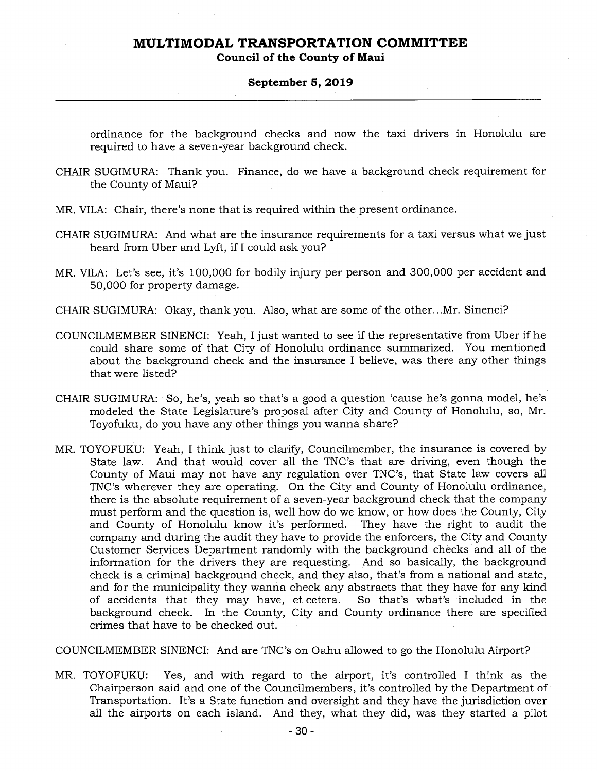**Council of the County of Maui** 

### **September 5, 2019**

ordinance for the background checks and now the taxi drivers in Honolulu are required to have a seven-year background check.

- CHAIR SUGIMURA: Thank you. Finance, do we have a background check requirement for the County of Maui?
- MR. VILA: Chair, there's none that is required within the present ordinance.
- CHAIR SUGIMURA: And what are the insurance requirements for a taxi versus what we just heard from Uber and Lyft, if I could ask you?
- MR. VILA: Let's see, it's 100,000 for bodily injury per person and 300,000 per accident and 50,000 for property damage.
- CHAIR SUGIMURA: Okay, thank you. Also, what are some of the other...Mr. Sinenci?
- COUNCILMEMBER SINENCI: Yeah, I just wanted to see if the representative from Uber if he could share some of that City of Honolulu ordinance summarized. You mentioned about the background check and the insurance I believe, was there any other things that were listed?
- CHAIR SUGIMURA: So, he's, yeah so that's a good a question 'cause he's gonna model, he's modeled the State Legislature's proposal after City and County of Honolulu, so, Mr. Toyofuku, do you have any other things you wanna share?
- MR. TOYOFUKU: Yeah, I think just to clarify, Councilmember, the insurance is covered by State law. And that would cover all the TNC's that are driving, even though the County of Maui may not have any regulation over TNC's, that State law covers all TNC's wherever they are operating. On the City and County of Honolulu ordinance, there is the absolute requirement of a seven-year background check that the company must perform and the question is, well how do we know, or how does the County, City and County of Honolulu know it's performed. They have the right to audit the company and during the audit they have to provide the enforcers, the City and County Customer Services Department randomly with the background checks and all of the information for the drivers they are requesting. And so basically, the background check is a criminal background check, and they also, that's from a national and state, and for the municipality they wanna check any abstracts that they have for any kind of accidents that they may have, et cetera. So that's what's included in the background check. In the County, City and County ordinance there are specified crimes that have to be checked out.

COUNCILMEMBER SINENCI: And are TNC's on Oahu allowed to go the Honolulu Airport?

MR. TOYOFUKU: Yes, and with regard to the airport, it's controlled I think as the Chairperson said and one of the Councilmembers, it's controlled by the Department of Transportation. It's a State function and oversight and they have the jurisdiction over all the airports on each island. And they, what they did, was they started a pilot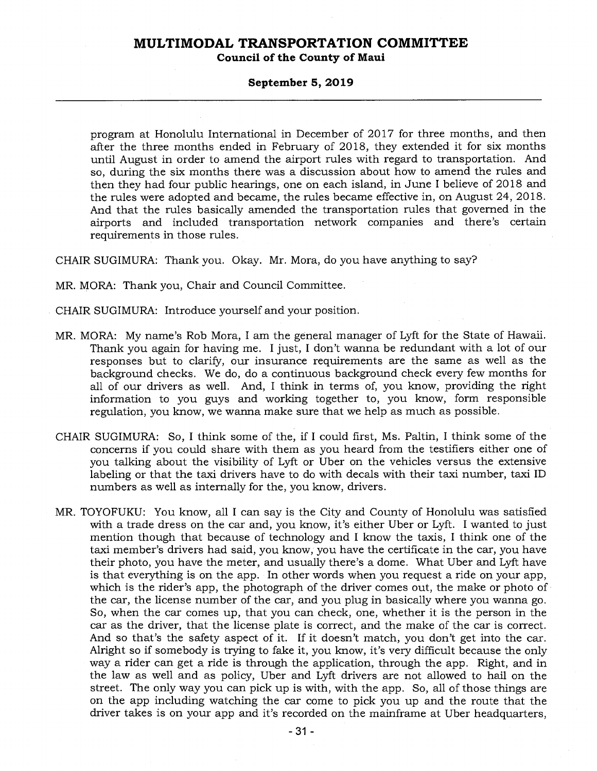**Council of the County of Maui** 

#### **September 5, 2019**

program at Honolulu International in December of 2017 for three months, and then after the three months ended in February of 2018, they extended it for six months until August in order to amend the airport rules with regard to transportation. And so, during the six months there was a discussion about how to amend the rules and then they had four public hearings, one on each island, in June I believe of 2018 and the rules were adopted and became, the rules became effective in, on August 24, 2018. And that the rules basically amended the transportation rules that governed in the airports and included transportation network companies and there's certain requirements in those rules.

CHAIR SUGIMURA: Thank you. Okay. Mr. Mora, do you have anything to say?

MR. MORA: Thank you, Chair and Council Committee.

- CHAIR SUGIMURA: Introduce yourself and your position.
- MR. MORA: My name's Rob Mora, I am the general manager of Lyft for the State of Hawaii. Thank you again for having me. I just, I don't wanna be redundant with a lot of our responses but to clarify, our insurance requirements are the same as well as the background checks. We do, do a continuous background check every few months for all of our drivers as well. And, I think in terms of, you know, providing the right information to you guys and working together to, you know, form responsible regulation, you know, we wanna make sure that we help as much as possible.
- CHAIR SUGIMURA: So, I think some of the, if I could first, Ms. Paltin, I think some of the concerns if you could share with them as you heard from the testifiers either one of you talking about the visibility of Lyft or Uber on the vehicles versus the extensive labeling or that the taxi drivers have to do with decals with their taxi number, taxi ID numbers as well as internally for the, you know, drivers.
- MR. TOYOFUKU: You know, all I can say is the City and County of Honolulu was satisfied with a trade dress on the car and, you know, it's either Uber or Lyft. I wanted to just mention though that because of technology and I know the taxis, I think one of the taxi member's drivers had said, you know, you have the certificate in the car, you have their photo, you have the meter, and usually there's a dome. What Uber and Lyft have is that everything is on the app. In other words when you request a ride on your app, which is the rider's app, the photograph of the driver comes out, the make or photo of the car, the license number of the car, and you plug in basically where you wanna go. So, when the car comes up, that you can check, one, whether it is the person in the car as the driver, that the license plate is correct, and the make of the car is correct. And so that's the safety aspect of it. If it doesn't match, you don't get into the car. Alright so if somebody is trying to fake it, you know, it's very difficult because the only way a rider can get a ride is through the application, through the app. Right, and in the law as well and as policy, Uber and Lyft drivers are not allowed to hail on the street. The only way you can pick up is with, with the app. So, all of those things are on the app including watching the car come to pick you up and the route that the driver takes is on your app and it's recorded on the mainframe at Uber headquarters,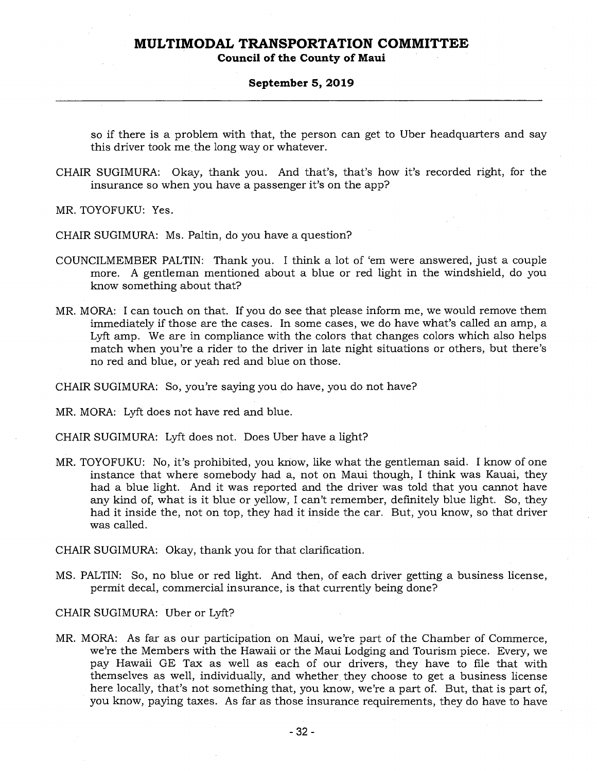**Council of the County of Maui** 

#### **September 5, 2019**

so if there is a problem with that, the person can get to Uber headquarters and say this driver took me the long way or whatever.

CHAIR SUGIMURA: Okay, thank you. And that's, that's how it's recorded right, for the insurance so when you have a passenger it's on the app?

MR. TOYOFUKU: Yes.

CHAIR SUGIMURA: Ms. Paltin, do you have a question?

- COUNCILMEMBER PALTIN: Thank you. I think a lot of 'em were answered, just a couple more. A gentleman mentioned about a blue or red light in the windshield, do you know something about that?
- MR. MORA: I can touch on that. If you do see that please inform me, we would remove them immediately if those are the cases. In some cases, we do have what's called an amp, a Lyft amp. We are in compliance with the colors that changes colors which also helps match when you're a rider to the driver in late night situations or others, but there's no red and blue, or yeah red and blue on those.

CHAIR SUGIMURA: So, you're saying you do have, you do not have?

MR. MORA: Lyft does not have red and blue.

CHAIR SUGIMURA: Lyft does not. Does Uber have a light?

MR. TOYOFUKU: No, it's prohibited, you know, like what the gentleman said. I know of one instance that where somebody had a, not on Maui though, I think was Kauai, they had a blue light. And it was reported and the driver was told that you cannot have any kind of, what is it blue or yellow, I can't remember, definitely blue light. So, they had it inside the, not on top, they had it inside the car. But, you know, so that driver was called.

CHAIR SUGIMURA: Okay, thank you for that clarification.

MS. PALTIN: So, no blue or red light. And then, of each driver getting a business license, permit decal, commercial insurance, is that currently being done?

CHAIR SUGIMURA: Uber or Lyft?

MR. MORA: As far as our participation on Maui, we're part of the Chamber of Commerce, we're the Members with the Hawaii or the Maui Lodging and Tourism piece. Every, we pay Hawaii GE Tax as well as each of our drivers, they have to file that with themselves as well, individually, and whether they choose to get a business license here locally, that's not something that, you know, we're a part of. But, that is part of, you know, paying taxes. As far as those insurance requirements, they do have to have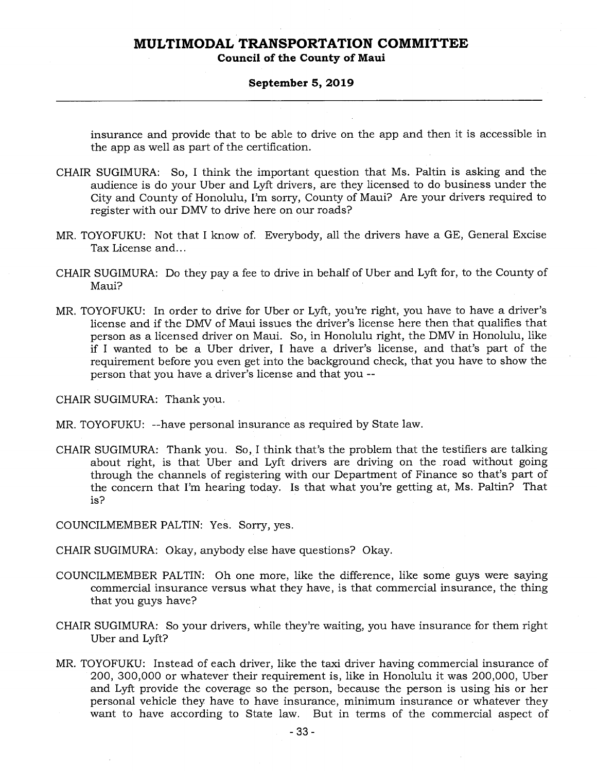**Council of the County of Maui** 

#### **September 5, 2019**

insurance and provide that to be able to drive on the app and then it is accessible in the app as well as part of the certification.

- CHAIR SUGIMURA: So, I think the important question that Ms. Paltin is asking and the audience is do your Uber and Lyft drivers, are they licensed to do business under the City and County of Honolulu, I'm sorry, County of Maui? Are your drivers required to register with our DMV to drive here on our roads?
- MR. TOYOFUKU: Not that I know of. Everybody, all the drivers have a GE, General Excise Tax License and...
- CHAIR SUGIMURA: Do they pay a fee to drive in behalf of Uber and Lyft for, to the County of Maui?
- MR. TOYOFUKU: In order to drive for Uber or Lyft, you're right, you have to have a driver's license and if the DMV of Maui issues the driver's license here then that qualifies that person as a licensed driver on Maui. So, in Honolulu right, the DMV in Honolulu, like if I wanted to be a Uber driver, I have a driver's license, and that's part of the requirement before you even get into the background check, that you have to show the person that you have a driver's license and that you --

CHAIR SUGIMURA: Thank you.

MR. TOYOFUKU: --have personal insurance as required by State law.

CHAIR SUGIMURA: Thank you. So, I think that's the problem that the testifiers are talking about right, is that Uber and Lyft drivers are driving on the road without going through the channels of registering with our Department of Finance so that's part of the concern that I'm hearing today. Is that what you're getting at, Ms. Paltin? That is?

COUNCILMEMBER PALTIN: Yes. Sorry, yes.

CHAIR SUGIMURA: Okay, anybody else have questions? Okay.

- COUNCILMEMBER PALTIN: Oh one more, like the difference, like some guys were saying commercial insurance versus what they have, is that commercial insurance, the thing that you guys have?
- CHAIR SUGIMURA: So your drivers, while they're waiting, you have insurance for them right Uber and Lyft?
- MR. TOYOFUKU: Instead of each driver, like the taxi driver having commercial insurance of 200, 300,000 or whatever their requirement is, like in Honolulu it was 200,000, Uber and Lyft provide the coverage so the person, because the person is using his or her personal vehicle they have to have insurance, minimum insurance or whatever they want to have according to State law. But in terms of the commercial aspect of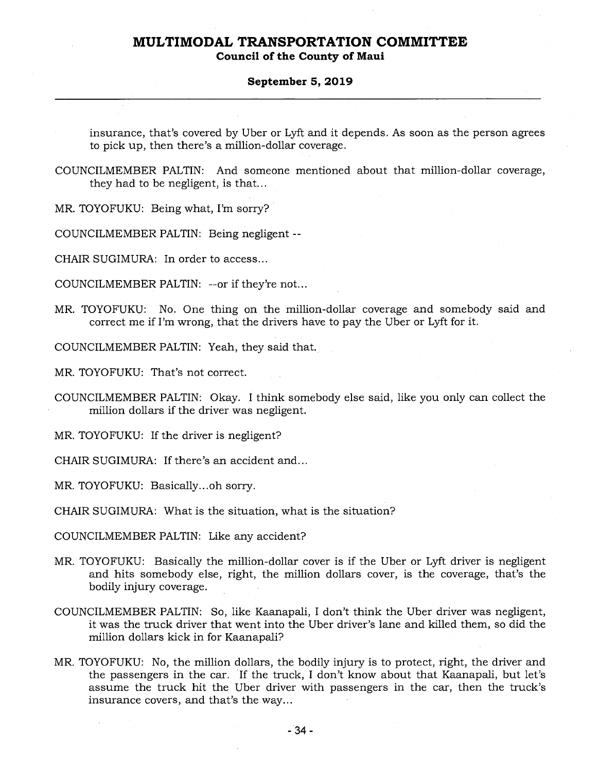**Council of the County of Maui** 

### **September 5, 2019**

insurance, that's covered by Uber or Lyft and it depends. As soon as the person agrees to pick up, then there's a million-dollar coverage.

COUNCILMEMBER PALTIN: And someone mentioned about that million-dollar coverage, they had to be negligent, is that...

MR. TOYOFUKU: Being what, I'm sorry?

COUNCILMEMBER PALTIN: Being negligent --

CHAIR SUGIMURA: In order to access...

COUNCILMEMBER PALTIN: --or if they're not...

MR. TOYOFUKU: No. One thing on the million-dollar coverage and somebody said and correct me if I'm wrong, that the drivers have to pay the Uber or Lyft for it.

COUNCILMEMBER PALTIN: Yeah, they said that.

MR. TOYOFUKU: That's not correct.

COUNCILMEMBER PALTIN: Okay. I think somebody else said, like you only can collect the million dollars if the driver was negligent.

MR. TOYOFUKU: If the driver is negligent?

CHAIR SUGIMURA: If there's an accident and...

MR. TOYOFUKU: Basically...oh sorry.

CHAIR SUGIMURA: What is the situation, what is the situation?

COUNCILMEMBER PALTIN: Like any accident?

- MR. TOYOFUKU: Basically the million-dollar cover is if the Uber or Lyft driver is negligent and hits somebody else, right, the million dollars cover, is the coverage, that's the bodily injury coverage.
- COUNCILMEMBER PALTIN: So, like Kaanapali, I don't think the Uber driver was negligent, it was the truck driver that went into the Uber driver's lane and killed them, so did the million dollars kick in for Kaanapali?
- MR. TOYOFUKU: No, the million dollars, the bodily injury is to protect, right, the driver and the passengers in the car. If the truck, I don't know about that Kaanapali, but let's assume the truck hit the Uber driver with passengers in the car, then the truck's insurance covers, and that's the way...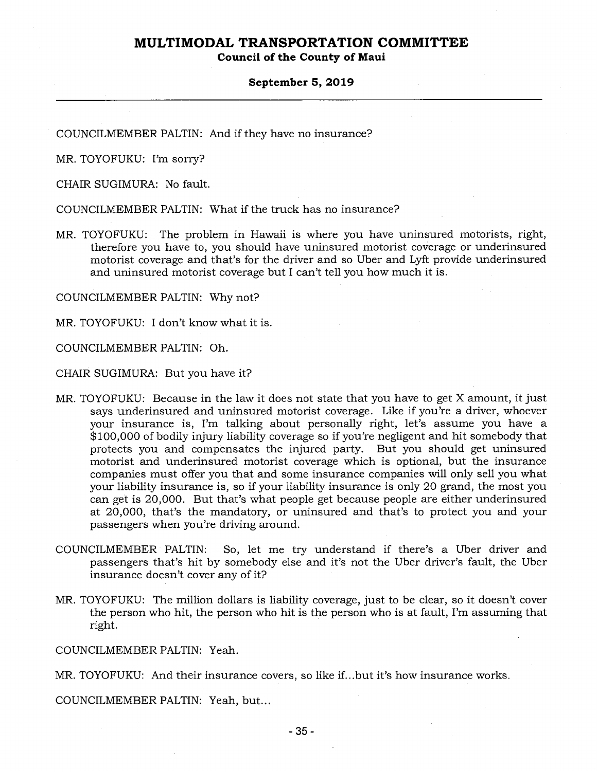**Council of the County of Maui** 

#### **September 5, 2019**

COUNCILMEMBER PALTIN: And if they have no insurance?

MR. TOYOFUKU: I'm sorry?

CHAIR SUGIMURA: No fault.

COUNCILMEMBER PALTIN: What if the truck has no insurance?

MR. TOYOFUKU: The problem in Hawaii is where you have uninsured motorists, right, therefore you have to, you should have uninsured motorist coverage or underinsured motorist coverage and that's for the driver and so Uber and Lyft provide underinsured and uninsured motorist coverage but I can't tell you how much it is.

COUNCILMEMBER PALTIN: Why not?

MR. TOYOFUKU: I don't know what it is.

COUNCILMEMBER PALTIN: Oh.

CHAIR SUGIMURA: But you have it?

- MR. TOYOFUKU: Because in the law it does not state that you have to get X amount, it just says underinsured and uninsured motorist coverage. Like if you're a driver, whoever your insurance is, I'm talking about personally right, let's assume you have a \$100,000 of bodily injury liability coverage so if you're negligent and hit somebody that protects you and compensates the injured party. But you should get uninsured motorist and underinsured motorist coverage which is optional, but the insurance companies must offer you that and some insurance companies will only sell you what your liability insurance is, so if your liability insurance is only 20 grand, the most you can get is 20,000. But that's what people get because people are either underinsured at 20,000, that's the mandatory, or uninsured and that's to protect you and your passengers when you're driving around.
- COUNCILMEMBER PALTIN: So, let me try understand if there's a Uber driver and passengers that's hit by somebody else and it's not the Uber driver's fault, the Uber insurance doesn't cover any of it?
- MR. TOYOFUKU: The million dollars is liability coverage, just to be clear, so it doesn't cover the person who hit, the person who hit is the person who is at fault, I'm assuming that right.

COUNCILMEMBER PALTIN: Yeah.

MR. TOYOFUKU: And their insurance covers, so like if...but it's how insurance works.

COUNCILMEMBER PALTIN: Yeah, but...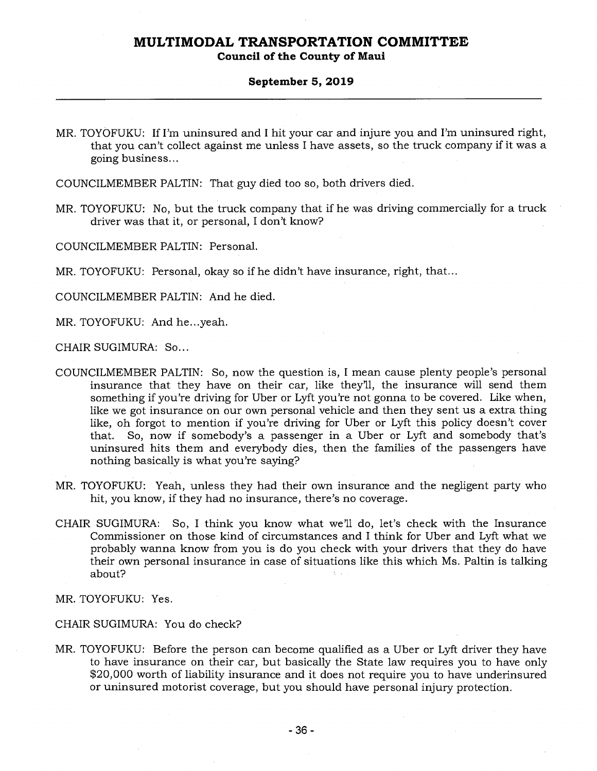### **Council of the County of Maui**

### **September 5, 2019**

MR. TOYOFUKU: If I'm uninsured and I hit your car and injure you and I'm uninsured right, that you can't collect against me unless I have assets, so the truck company if it was a going business...

COUNCILMEMBER PALTIN: That guy died too so, both drivers died.

MR. TOYOFUKU: No, but the truck company that if he was driving commercially for a truck driver was that it, or personal, I don't know?

COUNCILMEMBER PALTIN: Personal.

MR. TOYOFUKU: Personal, okay so if he didn't have insurance, right, that...

COUNCILMEMBER PALTIN: And he died.

MR. TOYOFUKU: And he...yeah.

CHAIR SUGIMURA: So...

- COUNCILMEMBER PALTIN: So, now the question is, I mean cause plenty people's personal insurance that they have on their car, like they'll, the insurance will send them something if you're driving for Uber or Lyft you're not gonna to be covered. Like when, like we got insurance on our own personal vehicle and then they sent us a extra thing like, oh forgot to mention if you're driving for Uber or Lyft this policy doesn't cover that. So, now if somebody's a passenger in a Uber or Lyft and somebody that's uninsured hits them and everybody dies, then the families of the passengers have nothing basically is what you're saying?
- MR. TOYOFUKU: Yeah, unless they had their own insurance and the negligent party who hit, you know, if they had no insurance, there's no coverage.
- CHAIR SUGIMURA: So, I think you know what we'll do, let's check with the Insurance Commissioner on those kind of circumstances and I think for Uber and Lyft what we probably wanna know from you is do you check with your drivers that they do have their own personal insurance in case of situations like this which Ms. Paltin is talking about?

MR. TOYOFUKU: Yes.

#### CHAIR SUGIMURA: You do check?

MR. TOYOFUKU: Before the person can become qualified as a Uber or Lyft driver they have to have insurance on their car, but basically the State law requires you to have only \$20,000 worth of liability insurance and it does not require you to have underinsured or uninsured motorist coverage, but you should have personal injury protection.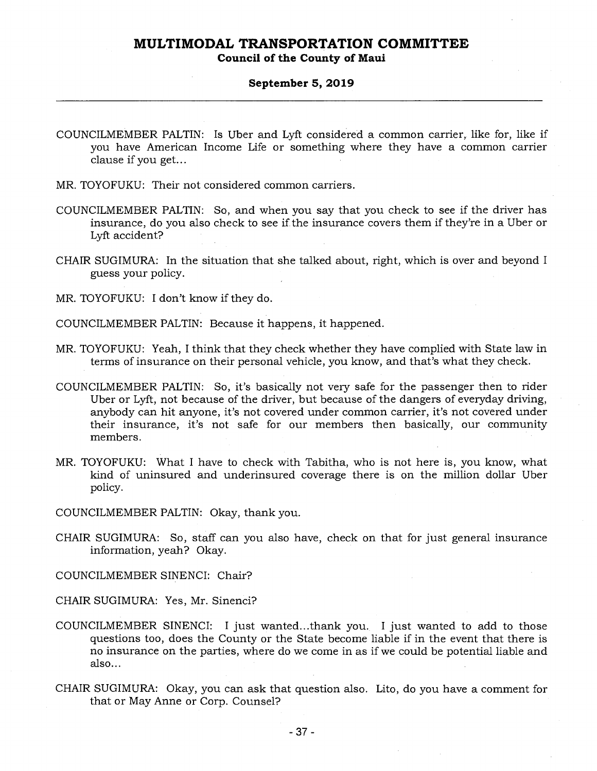### **Council of the County of Maui**

#### **September 5, 2019**

- COUNCILMEMBER PALTIN: Is Uber and Lyft considered a common carrier, like for, like if you have American Income Life or something where they have a common carrier clause if you get...
- MR. TOYOFUKU: Their not considered common carriers.
- COUNCILMEMBER PALTIN: So, and when you say that you check to see if the driver has insurance, do you also check to see if the insurance covers them if they're in a Uber or Lyft accident?
- CHAIR SUGIMURA: In the situation that she talked about, right, which is over and beyond I guess your policy.
- MR. TOYOFUKU: I don't know if they do.
- COUNCILMEMBER PALTIN: Because it happens, it happened.
- MR. TOYOFUKU: Yeah, I think that they check whether they have complied with State law in terms of insurance on their personal vehicle, you know, and that's what they check.
- COUNCILMEMBER PALTIN: So, it's basically not very safe for the passenger then to rider Uber or Lyft, not because of the driver, but because of the dangers of everyday driving, anybody can hit anyone, it's not covered under common carrier, it's not covered under their insurance, it's not safe for our members then basically, our community members.
- MR. TOYOFUKU: What I have to check with Tabitha, who is not here is, you know, what kind of uninsured and underinsured coverage there is on the million dollar Uber policy.
- COUNCILMEMBER PALTIN: Okay, thank you.
- CHAIR SUGIMURA: So, staff can you also have, check on that for just general insurance information, yeah? Okay.

COUNCILMEMBER SINENCI: Chair?

- CHAIR SUGIMURA: Yes, Mr. Sinenci?
- COUNCILMEMBER SINENCI: I just wanted...thank you. I just wanted to add to those questions too, does the County or the State become liable if in the event that there is no insurance on the parties, where do we come in as if we could be potential liable and also...
- CHAIR SUGIMURA: Okay, you can ask that question also. Lito, do you have a comment for that or May Anne or Corp. Counsel?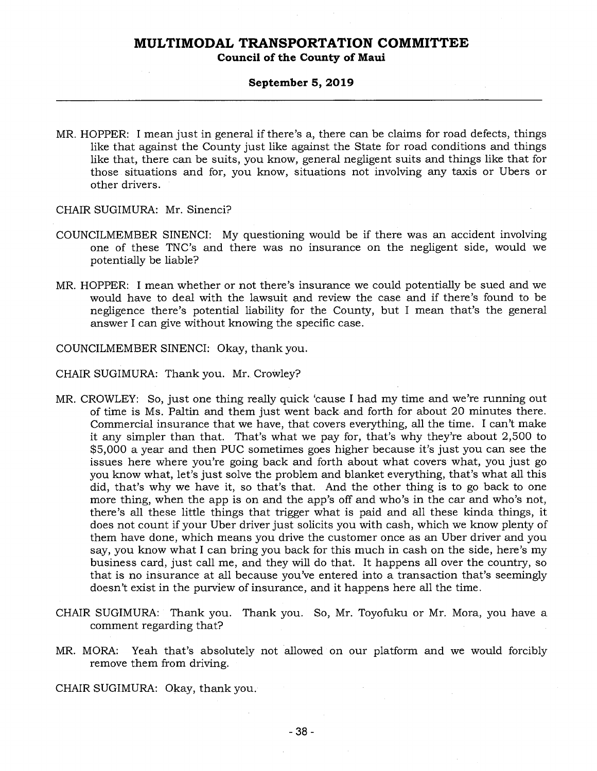**Council of the County of Maui** 

#### **September 5, 2019**

MR. HOPPER: I mean just in general if there's a, there can be claims for road defects, things like that against the County just like against the State for road conditions and things like that, there can be suits, you know, general negligent suits and things like that for those situations and for, you know, situations not involving any taxis or Ubers or other drivers.

CHAIR SUGIMURA: Mr. Sinenci?

- COUNCILMEMBER SINENCI: My questioning would be if there was an accident involving one of these TNC's and there was no insurance on the negligent side, would we potentially be liable?
- MR. HOPPER: I mean whether or not there's insurance we could potentially be sued and we would have to deal with the lawsuit and review the case and if there's found to be negligence there's potential liability for the County, but I mean that's the general answer I can give without knowing the specific case.

COUNCILMEMBER SINENCI: Okay, thank you.

CHAIR SUGIMURA: Thank you. Mr. Crowley?

- MR. CROWLEY: So, just one thing really quick 'cause I had my time and we're running out of time is Ms. Paltin and them just went back and forth for about 20 minutes there. Commercial insurance that we have, that covers everything, all the time. I can't make it any simpler than that. That's what we pay for, that's why they're about 2,500 to \$5,000 a year and then PUC sometimes goes higher because it's just you can see the issues here where you're going back and forth about what covers what, you just go you know what, let's just solve the problem and blanket everything, that's what all this did, that's why we have it, so that's that. And the other thing is to go back to one more thing, when the app is on and the app's off and who's in the car and who's not, there's all these little things that trigger what is paid and all these kinda things, it does not count if your Uber driver just solicits you with cash, which we know plenty of them have done, which means you drive the customer once as an Uber driver and you say, you know what I can bring you back for this much in cash on the side, here's my business card, just call me, and they will do that. It happens all over the country, so that is no insurance at all because you've entered into a transaction that's seemingly doesn't exist in the purview of insurance, and it happens here all the time.
- CHAIR SUGIMURA: Thank you. Thank you. So, Mr. Toyofuku or Mr. Mora, you have a comment regarding that?
- MR. MORA: Yeah that's absolutely not allowed on our platform and we would forcibly remove them from driving.

CHAIR SUGIMURA: Okay, thank you.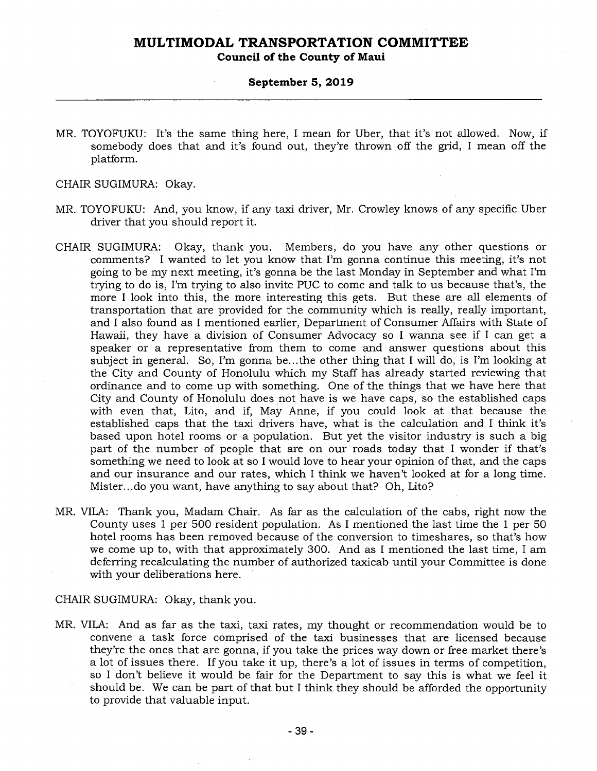**Council of the County of Maui** 

#### **September 5, 2019**

MR. TOYOFUKU: It's the same thing here, I mean for Uber, that it's not allowed. Now, if somebody does that and it's found out, they're thrown off the grid, I mean off the platform.

CHAIR SUGIMURA: Okay.

- MR. TOYOFUKU: And, you know, if any taxi driver, Mr. Crowley knows of any specific Uber driver that you should report it.
- CHAIR SUGIMURA: Okay, thank you. Members, do you have any other questions or comments? I wanted to let you know that I'm gonna continue this meeting, it's not going to be my next meeting, it's gonna be the last Monday in September and what I'm trying to do is, I'm trying to also invite PUC to come and talk to us because that's, the more I look into this, the more interesting this gets. But these are all elements of transportation that are provided for the community which is really, really important, and I also found as I mentioned earlier, Department of Consumer Affairs with State of Hawaii, they have a division of Consumer Advocacy so I wanna see if I can get a speaker or a representative from them to come and answer questions about this subject in general. So, I'm gonna be...the other thing that I will do, is I'm looking at the City and County of Honolulu which my Staff has already started reviewing that ordinance and to come up with something. One of the things that we have here that City and County of Honolulu does not have is we have caps, so the established caps with even that, Lito, and if, May Anne, if you could look at that because the established caps that the taxi drivers have, what is the calculation and I think it's based upon hotel rooms or a population. But yet the visitor industry is such a big part of the number of people that are on our roads today that I wonder if that's something we need to look at so I would love to hear your opinion of that, and the caps and our insurance and our rates, which I think we haven't looked at for a long time. Mister...do you want, have anything to say about that? Oh, Lito?
- MR. VILA: Thank you, Madam Chair. As far as the calculation of the cabs, right now the County uses 1 per 500 resident population. As I mentioned the last time the 1 per 50 hotel rooms has been removed because of the conversion to timeshares, so that's how we come up to, with that approximately 300. And as I mentioned the last time, I am deferring recalculating the number of authorized taxicab until your Committee is done with your deliberations here.

#### CHAIR SUGIMURA: Okay, thank you.

MR. VILA: And as far as the taxi, taxi rates, my thought or recommendation would be to convene a task force comprised of the taxi businesses that are licensed because they're the ones that are gonna, if you take the prices way down or free market there's a lot of issues there. If you take it up, there's a lot of issues in terms of competition, so I don't believe it would be fair for the Department to say this is what we feel it should be. We can be part of that but I think they should be afforded the opportunity to provide that valuable input.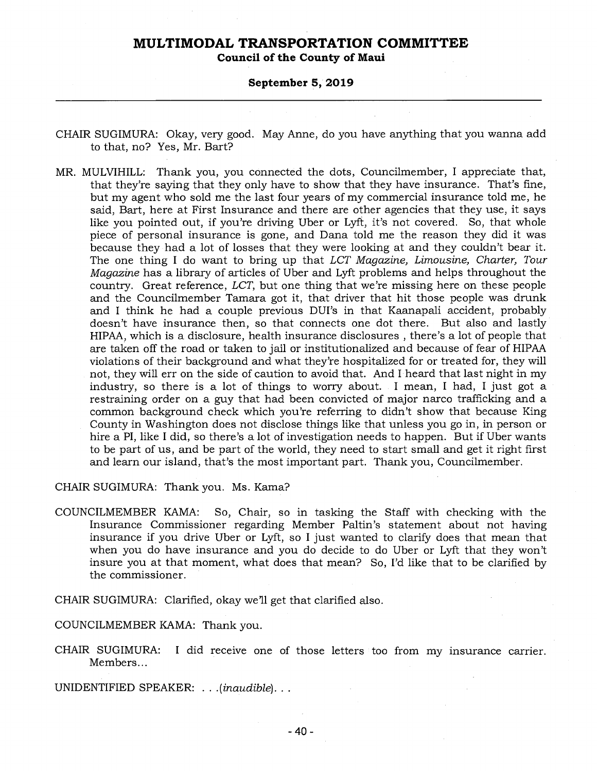**Council of the County of Maui** 

#### **September 5, 2019**

- CHAIR SUGIMURA: Okay, very good. May Anne, do you have anything that you wanna add to that, no? Yes, Mr. Bart?
- MR. MULVIHILL: Thank you, you connected the dots, Councilmember, I appreciate that, that they're saying that they only have to show that they have insurance. That's fine, but my agent who sold me the last four years of my commercial insurance told me, he said, Bart, here at First Insurance and there are other agencies that they use, it says like you pointed out, if you're driving Uber or Lyft, it's not covered. So, that whole piece of personal insurance is gone, and Dana told me the reason they did it was because they had a lot of losses that they were looking at and they couldn't bear it. The one thing I do want to bring up that *LCT Magazine, Limousine, Charter, Tour Magazine* has a library of articles of Uber and Lyft problems and helps throughout the country. Great reference, *LCT,* but one thing that we're missing here on these people and the Councilmember Tamara got it, that driver that hit those people was drunk and I think he had a couple previous DUI's in that Kaanapali accident, probably doesn't have insurance then, so that connects one dot there. But also and lastly HIPAA, which is a disclosure, health insurance disclosures , there's a lot of people that are taken off the road or taken to jail or institutionalized and because of fear of HIPAA violations of their background and what they're hospitalized for or treated for, they will not, they will err on the side of caution to avoid that. And I heard that last night in my industry, so there is a lot of things to worry about. I mean, I had, I just got a restraining order on a guy that had been convicted of major narco trafficking and a common background check which you're referring to didn't show that because King County in Washington does not disclose things like that unless you go in, in person or hire a PI, like I did, so there's a lot of investigation needs to happen. But if Uber wants to be part of us, and be part of the world, they need to start small and get it right first and learn our island, that's the most important part. Thank you, Councilmember.

CHAIR SUGIMURA: Thank you. Ms. Kama?

COUNCILMEMBER KAMA: So, Chair, so in tasking the Staff with checking with the Insurance Commissioner regarding Member Paltin's statement about not having insurance if you drive Uber or Lyft, so I just wanted to clarify does that mean that when you do have insurance and you do decide to do Uber or Lyft that they won't insure you at that moment, what does that mean? So, I'd like that to be clarified by the commissioner.

CHAIR SUGIMURA: Clarified, okay we'll get that clarified also.

COUNCILMEMBER KAMA: Thank you.

CHAIR SUGIMURA: I did receive one of those letters too from my insurance carrier. Members...

UNIDENTIFIED SPEAKER: . . *.(inaudible). . .*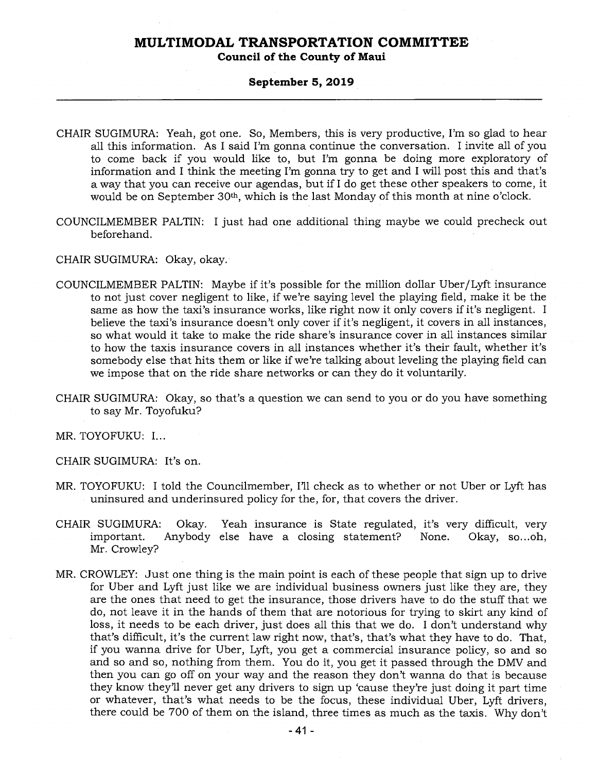### **Council of the County of Maui**

### **September 5, 2019**

- CHAIR SUGIMURA: Yeah, got one. So, Members, this is very productive, I'm so glad to hear all this information. As I said I'm gonna continue the conversation. I invite all of you to come back if you would like to, but I'm gonna be doing more exploratory of information and I think the meeting I'm gonna try to get and I will post this and that's a way that you can receive our agendas, but if I do get these other speakers to come, it would be on September 30th, which is the last Monday of this month at nine o'clock.
- COUNCILMEMBER PALTIN: I just had one additional thing maybe we could precheck out beforehand.

CHAIR SUGIMURA: Okay, okay.

- COUNCILMEMBER PALTIN: Maybe if it's possible for the million dollar Uber/Lyft insurance to not just cover negligent to like, if we're saying level the playing field, make it be the same as how the taxi's insurance works, like right now it only covers if it's negligent. I believe the taxi's insurance doesn't only cover if it's negligent, it covers in all instances, so what would it take to make the ride share's insurance cover in all instances similar to how the taxis insurance covers in all instances whether it's their fault, whether it's somebody else that hits them or like if we're talking about leveling the playing field can we impose that on the ride share networks or can they do it voluntarily.
- CHAIR SUGIMURA: Okay, so that's a question we can send to you or do you have something to say Mr. Toyofuku?

MR. TOYOFUKU: I...

CHAIR SUGIMURA: It's on.

- MR. TOYOFUKU: I told the Councilmember, I'll check as to whether or not Uber or Lyft has uninsured and underinsured policy for the, for, that covers the driver.
- CHAIR SUGIMURA: Okay. Yeah insurance is State regulated, it's very difficult, very Anybody else have a closing statement? None. Mr. Crowley?
- MR. CROWLEY: Just one thing is the main point is each of these people that sign up to drive for Uber and Lyft just like we are individual business owners just like they are, they are the ones that need to get the insurance, those drivers have to do the stuff that we do, not leave it in the hands of them that are notorious for trying to skirt any kind of loss, it needs to be each driver, just does all this that we do. I don't understand why that's difficult, it's the current law right now, that's, that's what they have to do. That, if you wanna drive for Uber, Lyft, you get a commercial insurance policy, so and so and so and so, nothing from them. You do it, you get it passed through the DMV and then you can go off on your way and the reason they don't wanna do that is because they know they'll never get any drivers to sign up 'cause they're just doing it part time or whatever, that's what needs to be the focus, these individual Uber, Lyft drivers, there could be 700 of them on the island, three times as much as the taxis. Why don't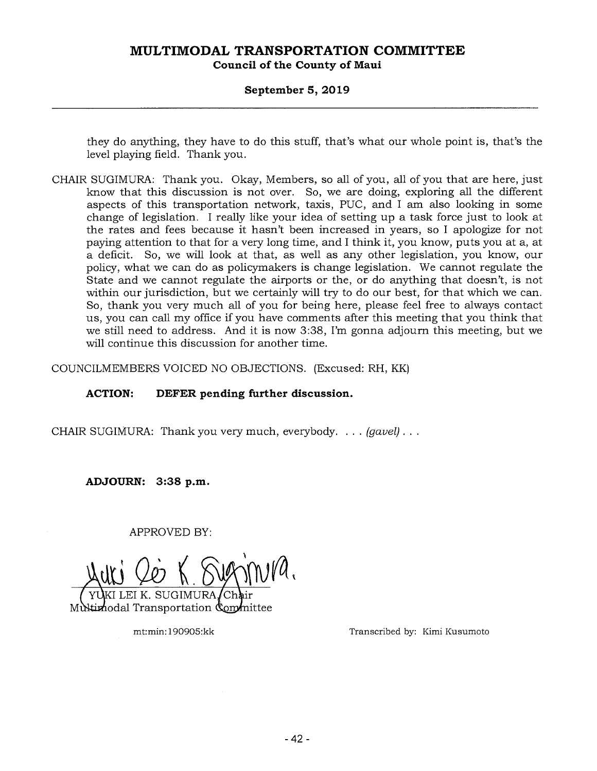# **MULTIMODAL TRANSPORTATION COMMITTEE Council of the County of Maui**

### **September 5, 2019**

they do anything, they have to do this stuff, that's what our whole point is, that's the level playing field. Thank you.

CHAIR SUGIMURA: Thank you. Okay, Members, so all of you, all of you that are here, just know that this discussion is not over. So, we are doing, exploring all the different aspects of this transportation network, taxis, PUC, and I am also looking in some change of legislation. I really like your idea of setting up a task force just to look at the rates and fees because it hasn't been increased in years, so I apologize for not paying attention to that for a very long time, and I think it, you know, puts you at a, at a deficit. So, we will look at that, as well as any other legislation, you know, our policy, what we can do as policymakers is change legislation. We cannot regulate the State and we cannot regulate the airports or the, or do anything that doesn't, is not within our jurisdiction, but we certainly will try to do our best, for that which we can. So, thank you very much all of you for being here, please feel free to always contact us, you can call my office if you have comments after this meeting that you think that we still need to address. And it is now 3:38, I'm gonna adjourn this meeting, but we will continue this discussion for another time.

COUNCILMEMBERS VOICED NO OBJECTIONS. (Excused: RH, KK)

### **ACTION: DEFER pending further discussion.**

CHAIR SUGIMURA: Thank you very much, everybody. . . . *(gavel) . . .* 

**ADJOURN: 3:38 p.m.** 

APPROVED BY:

<u>uri 20</u>

GIMURA Multimodal Transportation Committee

mt:min:190905:kk Transcribed by: Kimi Kusumoto